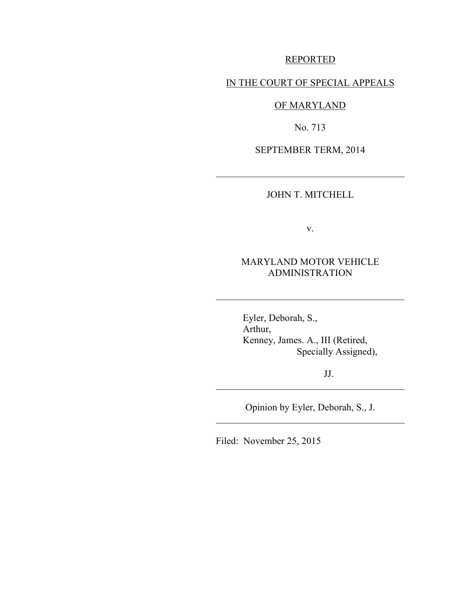### REPORTED

# IN THE COURT OF SPECIAL APPEALS

# OF MARYLAND

No. 713

SEPTEMBER TERM, 2014

 $\overline{\phantom{a}}$ 

 $\overline{\phantom{a}}$ 

 $\overline{\phantom{a}}$ 

 $\overline{a}$ 

JOHN T. MITCHELL

v.

# MARYLAND MOTOR VEHICLE ADMINISTRATION

 Eyler, Deborah, S., Arthur, Kenney, James. A., III (Retired, Specially Assigned),

JJ.

Opinion by Eyler, Deborah, S., J.

Filed: November 25, 2015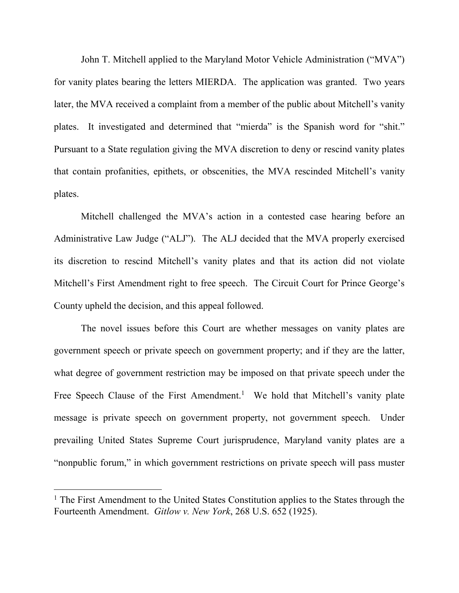John T. Mitchell applied to the Maryland Motor Vehicle Administration ("MVA") for vanity plates bearing the letters MIERDA. The application was granted. Two years later, the MVA received a complaint from a member of the public about Mitchell's vanity plates. It investigated and determined that "mierda" is the Spanish word for "shit." Pursuant to a State regulation giving the MVA discretion to deny or rescind vanity plates that contain profanities, epithets, or obscenities, the MVA rescinded Mitchell's vanity plates.

Mitchell challenged the MVA's action in a contested case hearing before an Administrative Law Judge ("ALJ"). The ALJ decided that the MVA properly exercised its discretion to rescind Mitchell's vanity plates and that its action did not violate Mitchell's First Amendment right to free speech. The Circuit Court for Prince George's County upheld the decision, and this appeal followed.

The novel issues before this Court are whether messages on vanity plates are government speech or private speech on government property; and if they are the latter, what degree of government restriction may be imposed on that private speech under the Free Speech Clause of the First Amendment.<sup>1</sup> We hold that Mitchell's vanity plate message is private speech on government property, not government speech. Under prevailing United States Supreme Court jurisprudence, Maryland vanity plates are a "nonpublic forum," in which government restrictions on private speech will pass muster

<sup>&</sup>lt;sup>1</sup> The First Amendment to the United States Constitution applies to the States through the Fourteenth Amendment. *Gitlow v. New York*, 268 U.S. 652 (1925).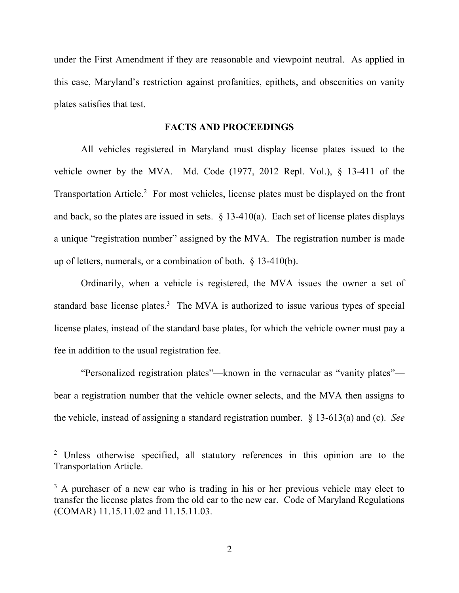under the First Amendment if they are reasonable and viewpoint neutral. As applied in this case, Maryland's restriction against profanities, epithets, and obscenities on vanity plates satisfies that test.

#### **FACTS AND PROCEEDINGS**

All vehicles registered in Maryland must display license plates issued to the vehicle owner by the MVA. Md. Code (1977, 2012 Repl. Vol.), § 13-411 of the Transportation Article. 2 For most vehicles, license plates must be displayed on the front and back, so the plates are issued in sets.  $\S$  13-410(a). Each set of license plates displays a unique "registration number" assigned by the MVA. The registration number is made up of letters, numerals, or a combination of both. § 13-410(b).

Ordinarily, when a vehicle is registered, the MVA issues the owner a set of standard base license plates.<sup>3</sup> The MVA is authorized to issue various types of special license plates, instead of the standard base plates, for which the vehicle owner must pay a fee in addition to the usual registration fee.

"Personalized registration plates"—known in the vernacular as "vanity plates" bear a registration number that the vehicle owner selects, and the MVA then assigns to the vehicle, instead of assigning a standard registration number. § 13-613(a) and (c). *See* 

<sup>&</sup>lt;sup>2</sup> Unless otherwise specified, all statutory references in this opinion are to the Transportation Article.

<sup>&</sup>lt;sup>3</sup> A purchaser of a new car who is trading in his or her previous vehicle may elect to transfer the license plates from the old car to the new car. Code of Maryland Regulations (COMAR) 11.15.11.02 and 11.15.11.03.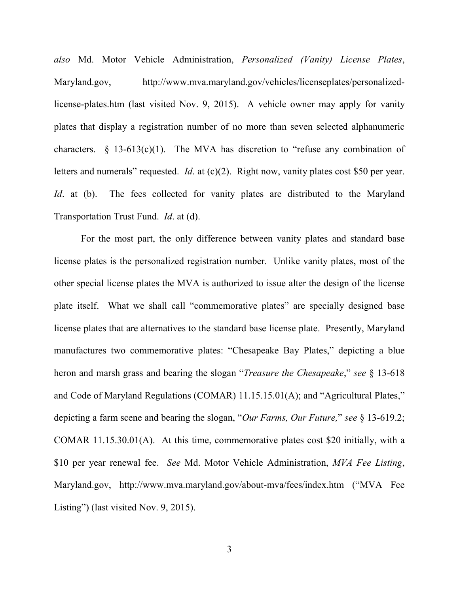*also* Md. Motor Vehicle Administration, *Personalized (Vanity) License Plates*, Maryland.gov, http://www.mva.maryland.gov/vehicles/licenseplates/personalizedlicense-plates.htm (last visited Nov. 9, 2015). A vehicle owner may apply for vanity plates that display a registration number of no more than seven selected alphanumeric characters.  $\S$  13-613(c)(1). The MVA has discretion to "refuse any combination of letters and numerals" requested. *Id.* at (c)(2). Right now, vanity plates cost \$50 per year. *Id*. at (b). The fees collected for vanity plates are distributed to the Maryland Transportation Trust Fund. *Id*. at (d).

For the most part, the only difference between vanity plates and standard base license plates is the personalized registration number. Unlike vanity plates, most of the other special license plates the MVA is authorized to issue alter the design of the license plate itself. What we shall call "commemorative plates" are specially designed base license plates that are alternatives to the standard base license plate. Presently, Maryland manufactures two commemorative plates: "Chesapeake Bay Plates," depicting a blue heron and marsh grass and bearing the slogan "*Treasure the Chesapeake*," *see* § 13-618 and Code of Maryland Regulations (COMAR) 11.15.15.01(A); and "Agricultural Plates," depicting a farm scene and bearing the slogan, "*Our Farms, Our Future,*" *see* § 13-619.2; COMAR 11.15.30.01(A). At this time, commemorative plates cost \$20 initially, with a \$10 per year renewal fee. *See* Md. Motor Vehicle Administration, *MVA Fee Listing*, Maryland.gov, http://www.mva.maryland.gov/about-mva/fees/index.htm ("MVA Fee Listing") (last visited Nov. 9, 2015).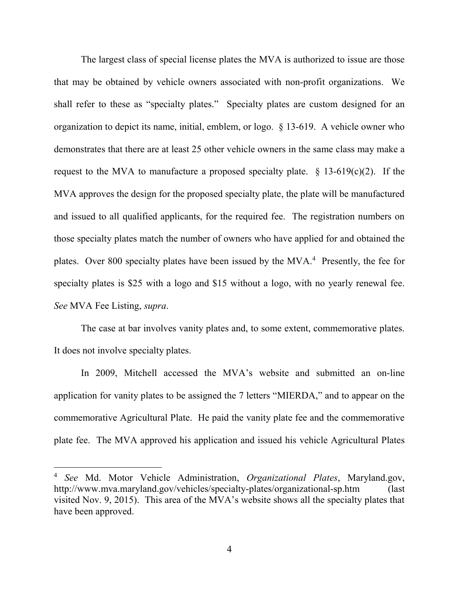The largest class of special license plates the MVA is authorized to issue are those that may be obtained by vehicle owners associated with non-profit organizations. We shall refer to these as "specialty plates." Specialty plates are custom designed for an organization to depict its name, initial, emblem, or logo. § 13-619. A vehicle owner who demonstrates that there are at least 25 other vehicle owners in the same class may make a request to the MVA to manufacture a proposed specialty plate.  $\S$  13-619(c)(2). If the MVA approves the design for the proposed specialty plate, the plate will be manufactured and issued to all qualified applicants, for the required fee. The registration numbers on those specialty plates match the number of owners who have applied for and obtained the plates. Over 800 specialty plates have been issued by the MVA.<sup>4</sup> Presently, the fee for specialty plates is \$25 with a logo and \$15 without a logo, with no yearly renewal fee. *See* MVA Fee Listing, *supra*.

The case at bar involves vanity plates and, to some extent, commemorative plates. It does not involve specialty plates.

In 2009, Mitchell accessed the MVA's website and submitted an on-line application for vanity plates to be assigned the 7 letters "MIERDA," and to appear on the commemorative Agricultural Plate. He paid the vanity plate fee and the commemorative plate fee. The MVA approved his application and issued his vehicle Agricultural Plates

<sup>4</sup> *See* Md. Motor Vehicle Administration, *Organizational Plates*, Maryland.gov, http://www.mva.maryland.gov/vehicles/specialty-plates/organizational-sp.htm (last visited Nov. 9, 2015). This area of the MVA's website shows all the specialty plates that have been approved.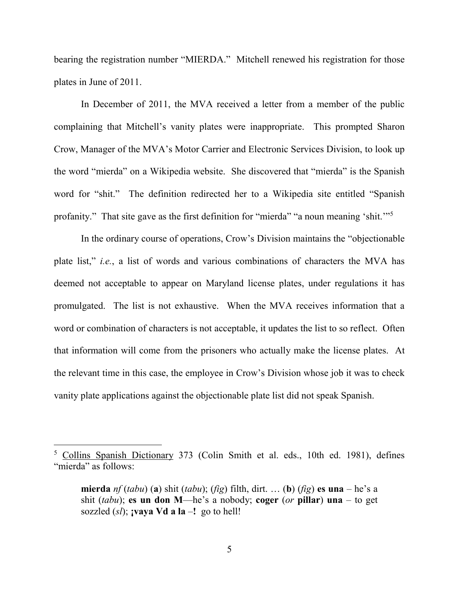bearing the registration number "MIERDA." Mitchell renewed his registration for those plates in June of 2011.

In December of 2011, the MVA received a letter from a member of the public complaining that Mitchell's vanity plates were inappropriate. This prompted Sharon Crow, Manager of the MVA's Motor Carrier and Electronic Services Division, to look up the word "mierda" on a Wikipedia website. She discovered that "mierda" is the Spanish word for "shit." The definition redirected her to a Wikipedia site entitled "Spanish profanity." That site gave as the first definition for "mierda" "a noun meaning 'shit."<sup>5</sup>

In the ordinary course of operations, Crow's Division maintains the "objectionable plate list," *i.e.*, a list of words and various combinations of characters the MVA has deemed not acceptable to appear on Maryland license plates, under regulations it has promulgated. The list is not exhaustive. When the MVA receives information that a word or combination of characters is not acceptable, it updates the list to so reflect. Often that information will come from the prisoners who actually make the license plates. At the relevant time in this case, the employee in Crow's Division whose job it was to check vanity plate applications against the objectionable plate list did not speak Spanish.

<sup>5</sup> Collins Spanish Dictionary 373 (Colin Smith et al. eds., 10th ed. 1981), defines "mierda" as follows:

**mierda** *nf* (*tabu*) (**a**) shit (*tabu*); (*fig*) filth, dirt. … (**b**) (*fig*) **es una** – he's a shit (*tabu*); **es un don M**—he's a nobody; **coger** (*or* **pillar**) **una** – to get sozzled  $(s)$ ; *vaya* **Vd a la** –! go to hell!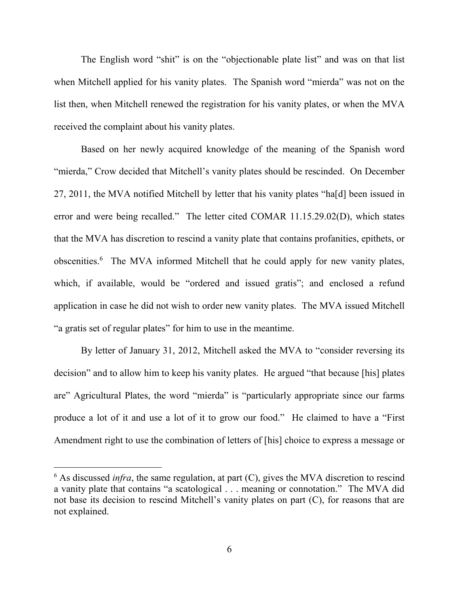The English word "shit" is on the "objectionable plate list" and was on that list when Mitchell applied for his vanity plates. The Spanish word "mierda" was not on the list then, when Mitchell renewed the registration for his vanity plates, or when the MVA received the complaint about his vanity plates.

Based on her newly acquired knowledge of the meaning of the Spanish word "mierda," Crow decided that Mitchell's vanity plates should be rescinded. On December 27, 2011, the MVA notified Mitchell by letter that his vanity plates "ha[d] been issued in error and were being recalled." The letter cited COMAR 11.15.29.02(D), which states that the MVA has discretion to rescind a vanity plate that contains profanities, epithets, or obscenities.<sup>6</sup> The MVA informed Mitchell that he could apply for new vanity plates, which, if available, would be "ordered and issued gratis"; and enclosed a refund application in case he did not wish to order new vanity plates. The MVA issued Mitchell "a gratis set of regular plates" for him to use in the meantime.

By letter of January 31, 2012, Mitchell asked the MVA to "consider reversing its decision" and to allow him to keep his vanity plates. He argued "that because [his] plates are" Agricultural Plates, the word "mierda" is "particularly appropriate since our farms produce a lot of it and use a lot of it to grow our food." He claimed to have a "First Amendment right to use the combination of letters of [his] choice to express a message or

 $6$  As discussed *infra*, the same regulation, at part  $(C)$ , gives the MVA discretion to rescind a vanity plate that contains "a scatological . . . meaning or connotation." The MVA did not base its decision to rescind Mitchell's vanity plates on part (C), for reasons that are not explained.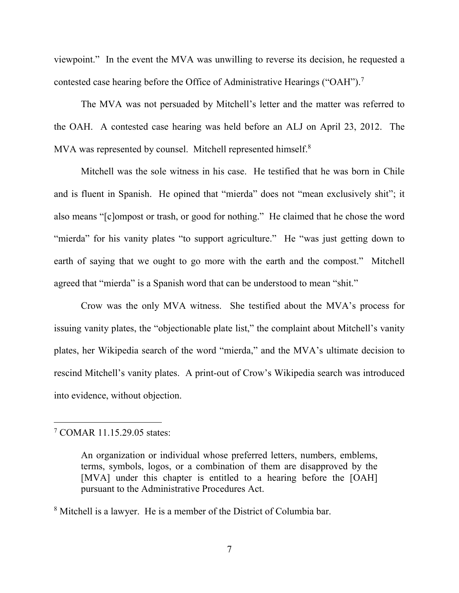viewpoint." In the event the MVA was unwilling to reverse its decision, he requested a contested case hearing before the Office of Administrative Hearings ("OAH").<sup>7</sup>

The MVA was not persuaded by Mitchell's letter and the matter was referred to the OAH. A contested case hearing was held before an ALJ on April 23, 2012. The MVA was represented by counsel. Mitchell represented himself.<sup>8</sup>

Mitchell was the sole witness in his case. He testified that he was born in Chile and is fluent in Spanish. He opined that "mierda" does not "mean exclusively shit"; it also means "[c]ompost or trash, or good for nothing." He claimed that he chose the word "mierda" for his vanity plates "to support agriculture." He "was just getting down to earth of saying that we ought to go more with the earth and the compost." Mitchell agreed that "mierda" is a Spanish word that can be understood to mean "shit."

Crow was the only MVA witness. She testified about the MVA's process for issuing vanity plates, the "objectionable plate list," the complaint about Mitchell's vanity plates, her Wikipedia search of the word "mierda," and the MVA's ultimate decision to rescind Mitchell's vanity plates. A print-out of Crow's Wikipedia search was introduced into evidence, without objection.

<sup>7</sup> COMAR 11.15.29.05 states:

An organization or individual whose preferred letters, numbers, emblems, terms, symbols, logos, or a combination of them are disapproved by the [MVA] under this chapter is entitled to a hearing before the [OAH] pursuant to the Administrative Procedures Act.

<sup>8</sup> Mitchell is a lawyer. He is a member of the District of Columbia bar.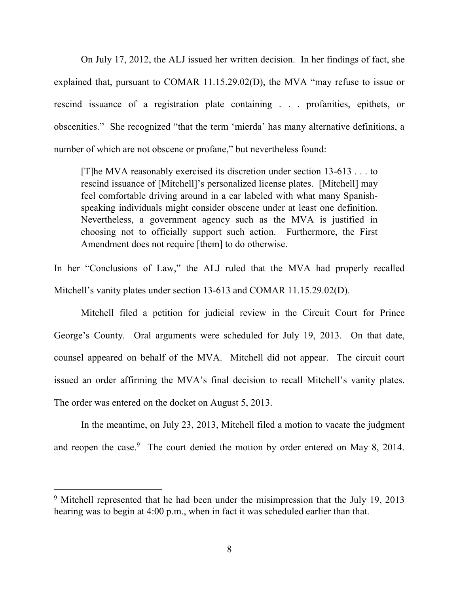On July 17, 2012, the ALJ issued her written decision. In her findings of fact, she explained that, pursuant to COMAR 11.15.29.02(D), the MVA "may refuse to issue or rescind issuance of a registration plate containing . . . profanities, epithets, or obscenities." She recognized "that the term 'mierda' has many alternative definitions, a number of which are not obscene or profane," but nevertheless found:

[T]he MVA reasonably exercised its discretion under section 13-613 . . . to rescind issuance of [Mitchell]'s personalized license plates. [Mitchell] may feel comfortable driving around in a car labeled with what many Spanishspeaking individuals might consider obscene under at least one definition. Nevertheless, a government agency such as the MVA is justified in choosing not to officially support such action. Furthermore, the First Amendment does not require [them] to do otherwise.

In her "Conclusions of Law," the ALJ ruled that the MVA had properly recalled Mitchell's vanity plates under section 13-613 and COMAR 11.15.29.02(D).

Mitchell filed a petition for judicial review in the Circuit Court for Prince George's County. Oral arguments were scheduled for July 19, 2013. On that date, counsel appeared on behalf of the MVA. Mitchell did not appear. The circuit court issued an order affirming the MVA's final decision to recall Mitchell's vanity plates. The order was entered on the docket on August 5, 2013.

In the meantime, on July 23, 2013, Mitchell filed a motion to vacate the judgment and reopen the case.<sup>9</sup> The court denied the motion by order entered on May 8, 2014.

<sup>&</sup>lt;sup>9</sup> Mitchell represented that he had been under the misimpression that the July 19, 2013 hearing was to begin at 4:00 p.m., when in fact it was scheduled earlier than that.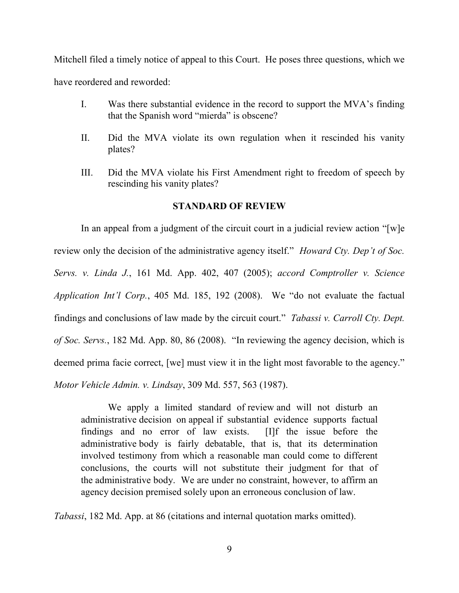Mitchell filed a timely notice of appeal to this Court. He poses three questions, which we have reordered and reworded:

- I. Was there substantial evidence in the record to support the MVA's finding that the Spanish word "mierda" is obscene?
- II. Did the MVA violate its own regulation when it rescinded his vanity plates?
- III. Did the MVA violate his First Amendment right to freedom of speech by rescinding his vanity plates?

## **STANDARD OF REVIEW**

In an appeal from a judgment of the circuit court in a judicial review action "[w]e review only the decision of the administrative agency itself." *Howard Cty. Dep't of Soc. Servs. v. Linda J.*, 161 Md. App. 402, 407 (2005); *accord Comptroller v. Science Application Int'l Corp.*, 405 Md. 185, 192 (2008). We "do not evaluate the factual findings and conclusions of law made by the circuit court." *Tabassi v. Carroll Cty. Dept. of Soc. Servs.*, 182 Md. App. 80, 86 (2008). "In reviewing the agency decision, which is deemed prima facie correct, [we] must view it in the light most favorable to the agency." *Motor Vehicle Admin. v. Lindsay*, 309 Md. 557, 563 (1987).

 We apply a limited standard of review and will not disturb an administrative decision on appeal if substantial evidence supports factual findings and no error of law exists. [I]f the issue before the administrative body is fairly debatable, that is, that its determination involved testimony from which a reasonable man could come to different conclusions, the courts will not substitute their judgment for that of the administrative body. We are under no constraint, however, to affirm an agency decision premised solely upon an erroneous conclusion of law.

*Tabassi*, 182 Md. App. at 86 (citations and internal quotation marks omitted).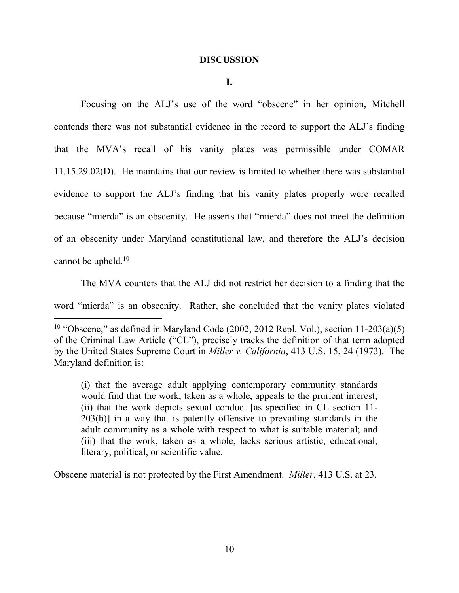#### **DISCUSSION**

**I.**

 Focusing on the ALJ's use of the word "obscene" in her opinion, Mitchell contends there was not substantial evidence in the record to support the ALJ's finding that the MVA's recall of his vanity plates was permissible under COMAR 11.15.29.02(D). He maintains that our review is limited to whether there was substantial evidence to support the ALJ's finding that his vanity plates properly were recalled because "mierda" is an obscenity. He asserts that "mierda" does not meet the definition of an obscenity under Maryland constitutional law, and therefore the ALJ's decision cannot be upheld.<sup>10</sup>

 The MVA counters that the ALJ did not restrict her decision to a finding that the word "mierda" is an obscenity. Rather, she concluded that the vanity plates violated

 $\overline{a}$ 

(i) that the average adult applying contemporary community standards would find that the work, taken as a whole, appeals to the prurient interest; (ii) that the work depicts sexual conduct [as specified in CL section 11- 203(b)] in a way that is patently offensive to prevailing standards in the adult community as a whole with respect to what is suitable material; and (iii) that the work, taken as a whole, lacks serious artistic, educational, literary, political, or scientific value.

Obscene material is not protected by the First Amendment. *Miller*, 413 U.S. at 23.

<sup>&</sup>lt;sup>10</sup> "Obscene," as defined in Maryland Code (2002, 2012 Repl. Vol.), section  $11-203(a)(5)$ of the Criminal Law Article ("CL"), precisely tracks the definition of that term adopted by the United States Supreme Court in *Miller v. California*, 413 U.S. 15, 24 (1973). The Maryland definition is: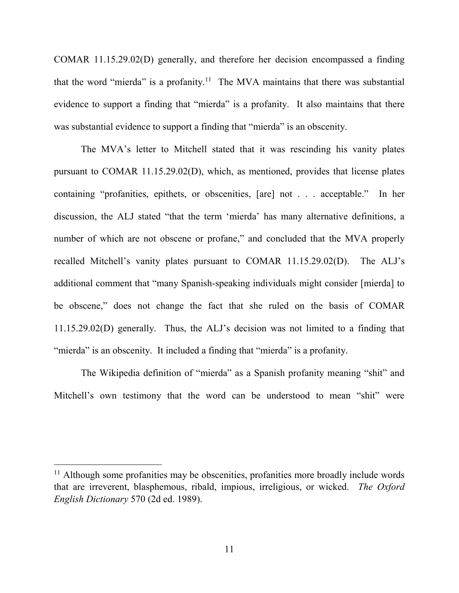COMAR 11.15.29.02(D) generally, and therefore her decision encompassed a finding that the word "mierda" is a profanity.<sup>11</sup> The MVA maintains that there was substantial evidence to support a finding that "mierda" is a profanity. It also maintains that there was substantial evidence to support a finding that "mierda" is an obscenity.

 The MVA's letter to Mitchell stated that it was rescinding his vanity plates pursuant to COMAR 11.15.29.02(D), which, as mentioned, provides that license plates containing "profanities, epithets, or obscenities, [are] not . . . acceptable." In her discussion, the ALJ stated "that the term 'mierda' has many alternative definitions, a number of which are not obscene or profane," and concluded that the MVA properly recalled Mitchell's vanity plates pursuant to COMAR 11.15.29.02(D). The ALJ's additional comment that "many Spanish-speaking individuals might consider [mierda] to be obscene," does not change the fact that she ruled on the basis of COMAR 11.15.29.02(D) generally. Thus, the ALJ's decision was not limited to a finding that "mierda" is an obscenity. It included a finding that "mierda" is a profanity.

The Wikipedia definition of "mierda" as a Spanish profanity meaning "shit" and Mitchell's own testimony that the word can be understood to mean "shit" were

<sup>&</sup>lt;sup>11</sup> Although some profanities may be obscenities, profanities more broadly include words that are irreverent, blasphemous, ribald, impious, irreligious, or wicked. *The Oxford English Dictionary* 570 (2d ed. 1989).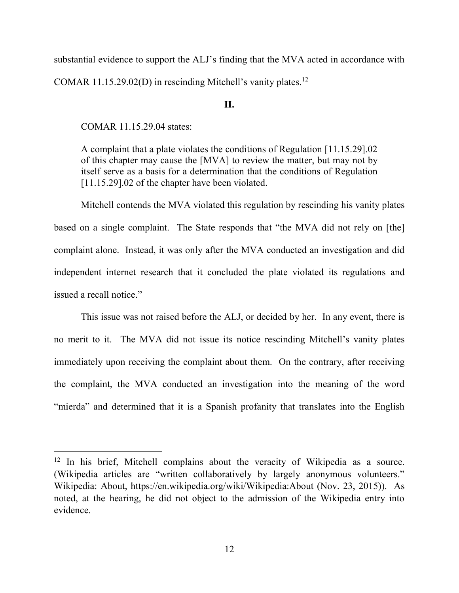substantial evidence to support the ALJ's finding that the MVA acted in accordance with COMAR 11.15.29.02(D) in rescinding Mitchell's vanity plates.<sup>12</sup>

#### **II.**

COMAR 11.15.29.04 states:

 $\overline{a}$ 

A complaint that a plate violates the conditions of Regulation [11.15.29].02 of this chapter may cause the [MVA] to review the matter, but may not by itself serve as a basis for a determination that the conditions of Regulation [11.15.29].02 of the chapter have been violated.

Mitchell contends the MVA violated this regulation by rescinding his vanity plates based on a single complaint. The State responds that "the MVA did not rely on [the] complaint alone. Instead, it was only after the MVA conducted an investigation and did independent internet research that it concluded the plate violated its regulations and issued a recall notice."

This issue was not raised before the ALJ, or decided by her. In any event, there is no merit to it. The MVA did not issue its notice rescinding Mitchell's vanity plates immediately upon receiving the complaint about them. On the contrary, after receiving the complaint, the MVA conducted an investigation into the meaning of the word "mierda" and determined that it is a Spanish profanity that translates into the English

<sup>&</sup>lt;sup>12</sup> In his brief, Mitchell complains about the veracity of Wikipedia as a source. (Wikipedia articles are "written collaboratively by largely anonymous volunteers." Wikipedia: About, https://en.wikipedia.org/wiki/Wikipedia:About (Nov. 23, 2015)). As noted, at the hearing, he did not object to the admission of the Wikipedia entry into evidence.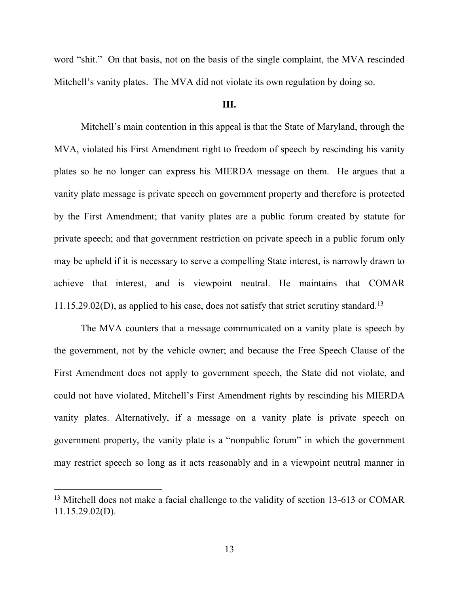word "shit." On that basis, not on the basis of the single complaint, the MVA rescinded Mitchell's vanity plates. The MVA did not violate its own regulation by doing so.

#### **III.**

Mitchell's main contention in this appeal is that the State of Maryland, through the MVA, violated his First Amendment right to freedom of speech by rescinding his vanity plates so he no longer can express his MIERDA message on them. He argues that a vanity plate message is private speech on government property and therefore is protected by the First Amendment; that vanity plates are a public forum created by statute for private speech; and that government restriction on private speech in a public forum only may be upheld if it is necessary to serve a compelling State interest, is narrowly drawn to achieve that interest, and is viewpoint neutral. He maintains that COMAR  $11.15.29.02(D)$ , as applied to his case, does not satisfy that strict scrutiny standard.<sup>13</sup>

The MVA counters that a message communicated on a vanity plate is speech by the government, not by the vehicle owner; and because the Free Speech Clause of the First Amendment does not apply to government speech, the State did not violate, and could not have violated, Mitchell's First Amendment rights by rescinding his MIERDA vanity plates. Alternatively, if a message on a vanity plate is private speech on government property, the vanity plate is a "nonpublic forum" in which the government may restrict speech so long as it acts reasonably and in a viewpoint neutral manner in

<sup>&</sup>lt;sup>13</sup> Mitchell does not make a facial challenge to the validity of section 13-613 or COMAR 11.15.29.02(D).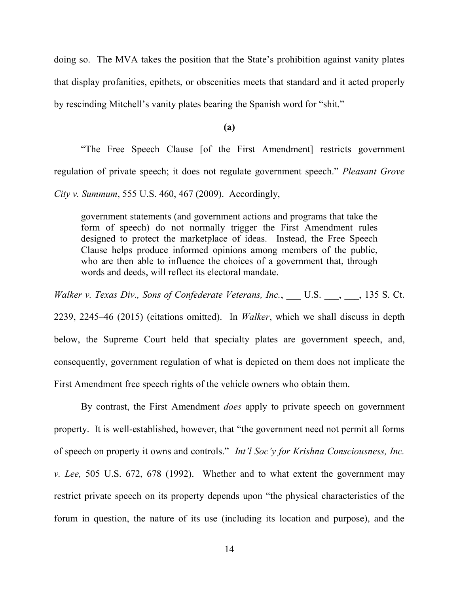doing so. The MVA takes the position that the State's prohibition against vanity plates that display profanities, epithets, or obscenities meets that standard and it acted properly by rescinding Mitchell's vanity plates bearing the Spanish word for "shit."

**(a)**

"The Free Speech Clause [of the First Amendment] restricts government regulation of private speech; it does not regulate government speech." *Pleasant Grove City v. Summum*, 555 U.S. 460, 467 (2009). Accordingly,

government statements (and government actions and programs that take the form of speech) do not normally trigger the First Amendment rules designed to protect the marketplace of ideas. Instead, the Free Speech Clause helps produce informed opinions among members of the public, who are then able to influence the choices of a government that, through words and deeds, will reflect its electoral mandate.

*Walker v. Texas Div., Sons of Confederate Veterans, Inc.*, U.S. , , 135 S. Ct.

2239, 2245–46 (2015) (citations omitted). In *Walker*, which we shall discuss in depth below, the Supreme Court held that specialty plates are government speech, and, consequently, government regulation of what is depicted on them does not implicate the First Amendment free speech rights of the vehicle owners who obtain them.

 By contrast, the First Amendment *does* apply to private speech on government property. It is well-established, however, that "the government need not permit all forms of speech on property it owns and controls." *Int'l Soc'y for Krishna Consciousness, Inc. v. Lee,* 505 U.S. 672, 678 (1992). Whether and to what extent the government may restrict private speech on its property depends upon "the physical characteristics of the forum in question, the nature of its use (including its location and purpose), and the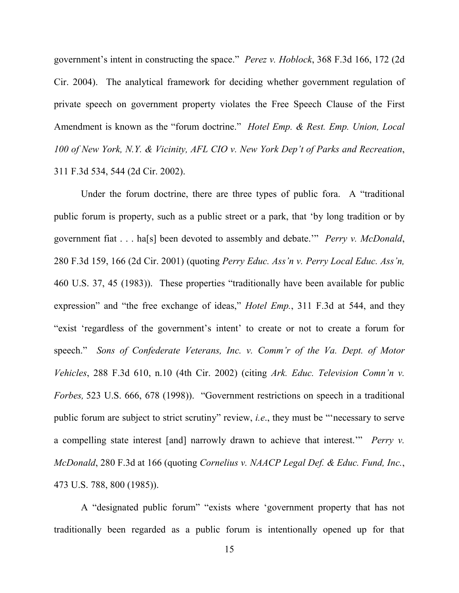government's intent in constructing the space." *Perez v. Hoblock*, 368 F.3d 166, 172 (2d Cir. 2004). The analytical framework for deciding whether government regulation of private speech on government property violates the Free Speech Clause of the First Amendment is known as the "forum doctrine." *Hotel Emp. & Rest. Emp. Union, Local 100 of New York, N.Y. & Vicinity, AFL CIO v. New York Dep't of Parks and Recreation*, 311 F.3d 534, 544 (2d Cir. 2002).

 Under the forum doctrine, there are three types of public fora. A "traditional public forum is property, such as a public street or a park, that 'by long tradition or by government fiat . . . ha[s] been devoted to assembly and debate.'" *Perry v. McDonald*, 280 F.3d 159, 166 (2d Cir. 2001) (quoting *Perry Educ. Ass'n v. Perry Local Educ. Ass'n,*  460 U.S. 37, 45 (1983)). These properties "traditionally have been available for public expression" and "the free exchange of ideas," *Hotel Emp.*, 311 F.3d at 544, and they "exist 'regardless of the government's intent' to create or not to create a forum for speech." *Sons of Confederate Veterans, Inc. v. Comm'r of the Va. Dept. of Motor Vehicles*, 288 F.3d 610, n.10 (4th Cir. 2002) (citing *Ark. Educ. Television Comn'n v. Forbes,* 523 U.S. 666, 678 (1998)). "Government restrictions on speech in a traditional public forum are subject to strict scrutiny" review, *i.e*., they must be "'necessary to serve a compelling state interest [and] narrowly drawn to achieve that interest.'" *Perry v. McDonald*, 280 F.3d at 166 (quoting *Cornelius v. NAACP Legal Def. & Educ. Fund, Inc.*, 473 U.S. 788, 800 (1985)).

 A "designated public forum" "exists where 'government property that has not traditionally been regarded as a public forum is intentionally opened up for that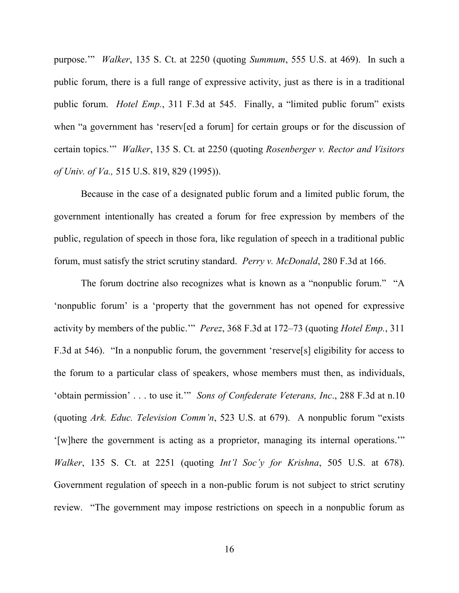purpose.'" *Walker*, 135 S. Ct. at 2250 (quoting *Summum*, 555 U.S. at 469). In such a public forum, there is a full range of expressive activity, just as there is in a traditional public forum. *Hotel Emp.*, 311 F.3d at 545. Finally, a "limited public forum" exists when "a government has 'reserv[ed a forum] for certain groups or for the discussion of certain topics.'" *Walker*, 135 S. Ct. at 2250 (quoting *Rosenberger v. Rector and Visitors of Univ. of Va.,* 515 U.S. 819, 829 (1995)).

Because in the case of a designated public forum and a limited public forum, the government intentionally has created a forum for free expression by members of the public, regulation of speech in those fora, like regulation of speech in a traditional public forum, must satisfy the strict scrutiny standard. *Perry v. McDonald*, 280 F.3d at 166.

 The forum doctrine also recognizes what is known as a "nonpublic forum." "A 'nonpublic forum' is a 'property that the government has not opened for expressive activity by members of the public.'" *Perez*, 368 F.3d at 172–73 (quoting *Hotel Emp.*, 311 F.3d at 546). "In a nonpublic forum, the government 'reserve[s] eligibility for access to the forum to a particular class of speakers, whose members must then, as individuals, 'obtain permission' . . . to use it.'" *Sons of Confederate Veterans, Inc*., 288 F.3d at n.10 (quoting *Ark. Educ. Television Comm'n*, 523 U.S. at 679). A nonpublic forum "exists '[w]here the government is acting as a proprietor, managing its internal operations.'" *Walker*, 135 S. Ct. at 2251 (quoting *Int'l Soc'y for Krishna*, 505 U.S. at 678). Government regulation of speech in a non-public forum is not subject to strict scrutiny review. "The government may impose restrictions on speech in a nonpublic forum as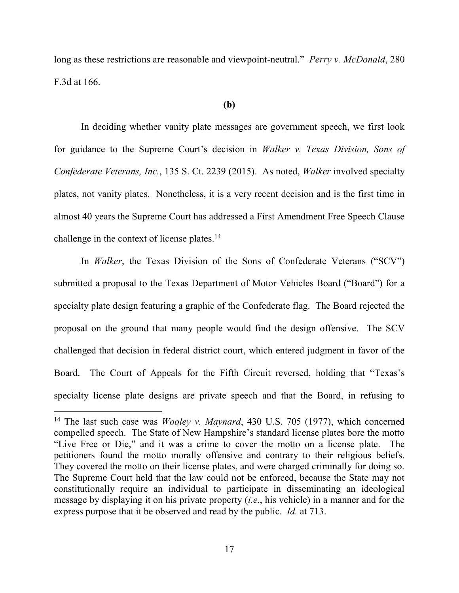long as these restrictions are reasonable and viewpoint-neutral." *Perry v. McDonald*, 280 F.3d at 166.

#### **(b)**

 In deciding whether vanity plate messages are government speech, we first look for guidance to the Supreme Court's decision in *Walker v. Texas Division, Sons of Confederate Veterans, Inc.*, 135 S. Ct. 2239 (2015). As noted, *Walker* involved specialty plates, not vanity plates. Nonetheless, it is a very recent decision and is the first time in almost 40 years the Supreme Court has addressed a First Amendment Free Speech Clause challenge in the context of license plates.<sup>14</sup>

In *Walker*, the Texas Division of the Sons of Confederate Veterans ("SCV") submitted a proposal to the Texas Department of Motor Vehicles Board ("Board") for a specialty plate design featuring a graphic of the Confederate flag. The Board rejected the proposal on the ground that many people would find the design offensive. The SCV challenged that decision in federal district court, which entered judgment in favor of the Board. The Court of Appeals for the Fifth Circuit reversed, holding that "Texas's specialty license plate designs are private speech and that the Board, in refusing to

<sup>14</sup> The last such case was *Wooley v. Maynard*, 430 U.S. 705 (1977), which concerned compelled speech. The State of New Hampshire's standard license plates bore the motto "Live Free or Die," and it was a crime to cover the motto on a license plate. The petitioners found the motto morally offensive and contrary to their religious beliefs. They covered the motto on their license plates, and were charged criminally for doing so. The Supreme Court held that the law could not be enforced, because the State may not constitutionally require an individual to participate in disseminating an ideological message by displaying it on his private property (*i.e.*, his vehicle) in a manner and for the express purpose that it be observed and read by the public. *Id.* at 713.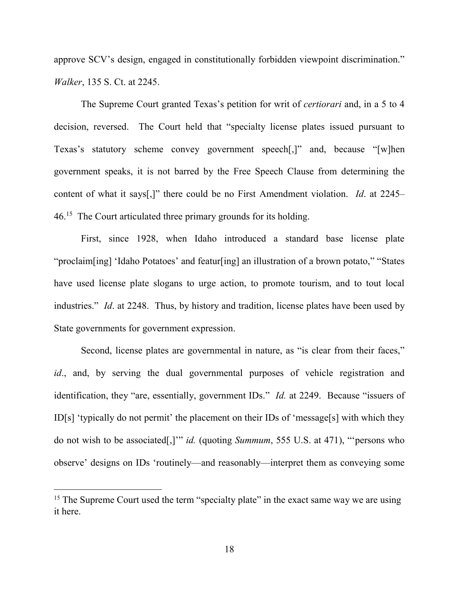approve SCV's design, engaged in constitutionally forbidden viewpoint discrimination." *Walker*, 135 S. Ct. at 2245.

The Supreme Court granted Texas's petition for writ of *certiorari* and, in a 5 to 4 decision, reversed. The Court held that "specialty license plates issued pursuant to Texas's statutory scheme convey government speech[,]" and, because "[w]hen government speaks, it is not barred by the Free Speech Clause from determining the content of what it says[,]" there could be no First Amendment violation. *Id*. at 2245– 46.<sup>15</sup> The Court articulated three primary grounds for its holding.

First, since 1928, when Idaho introduced a standard base license plate "proclaim[ing] 'Idaho Potatoes' and featur[ing] an illustration of a brown potato," "States have used license plate slogans to urge action, to promote tourism, and to tout local industries." *Id*. at 2248. Thus, by history and tradition, license plates have been used by State governments for government expression.

Second, license plates are governmental in nature, as "is clear from their faces," *id*., and, by serving the dual governmental purposes of vehicle registration and identification, they "are, essentially, government IDs." *Id.* at 2249. Because "issuers of ID[s] 'typically do not permit' the placement on their IDs of 'message[s] with which they do not wish to be associated[,]'" *id.* (quoting *Summum*, 555 U.S. at 471), "'persons who observe' designs on IDs 'routinely—and reasonably—interpret them as conveying some

<sup>&</sup>lt;sup>15</sup> The Supreme Court used the term "specialty plate" in the exact same way we are using it here.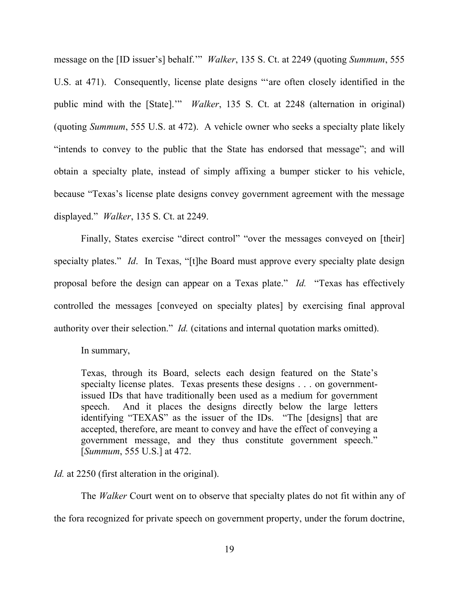message on the [ID issuer's] behalf.'" *Walker*, 135 S. Ct. at 2249 (quoting *Summum*, 555 U.S. at 471). Consequently, license plate designs "'are often closely identified in the public mind with the [State].'" *Walker*, 135 S. Ct. at 2248 (alternation in original) (quoting *Summum*, 555 U.S. at 472). A vehicle owner who seeks a specialty plate likely "intends to convey to the public that the State has endorsed that message"; and will obtain a specialty plate, instead of simply affixing a bumper sticker to his vehicle, because "Texas's license plate designs convey government agreement with the message displayed." *Walker*, 135 S. Ct. at 2249.

Finally, States exercise "direct control" "over the messages conveyed on [their] specialty plates." *Id*. In Texas, "[t]he Board must approve every specialty plate design proposal before the design can appear on a Texas plate." *Id.* "Texas has effectively controlled the messages [conveyed on specialty plates] by exercising final approval authority over their selection." *Id.* (citations and internal quotation marks omitted).

In summary,

Texas, through its Board, selects each design featured on the State's specialty license plates. Texas presents these designs . . . on governmentissued IDs that have traditionally been used as a medium for government speech. And it places the designs directly below the large letters identifying "TEXAS" as the issuer of the IDs. "The [designs] that are accepted, therefore, are meant to convey and have the effect of conveying a government message, and they thus constitute government speech." [*Summum*, 555 U.S.] at 472.

*Id.* at 2250 (first alteration in the original).

 The *Walker* Court went on to observe that specialty plates do not fit within any of the fora recognized for private speech on government property, under the forum doctrine,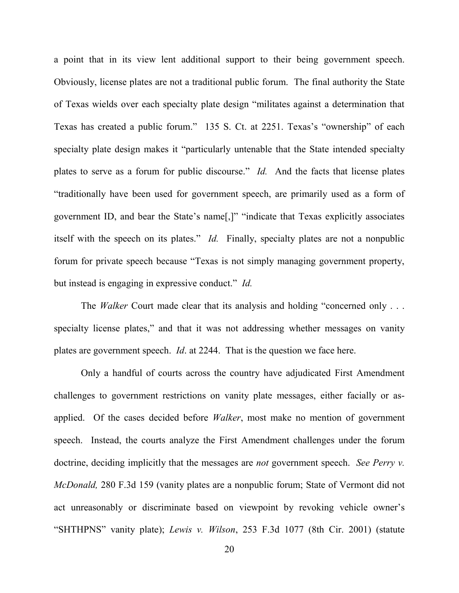a point that in its view lent additional support to their being government speech. Obviously, license plates are not a traditional public forum. The final authority the State of Texas wields over each specialty plate design "militates against a determination that Texas has created a public forum." 135 S. Ct. at 2251. Texas's "ownership" of each specialty plate design makes it "particularly untenable that the State intended specialty plates to serve as a forum for public discourse." *Id.* And the facts that license plates "traditionally have been used for government speech, are primarily used as a form of government ID, and bear the State's name[,]" "indicate that Texas explicitly associates itself with the speech on its plates." *Id.* Finally, specialty plates are not a nonpublic forum for private speech because "Texas is not simply managing government property, but instead is engaging in expressive conduct." *Id.* 

The *Walker* Court made clear that its analysis and holding "concerned only . . . specialty license plates," and that it was not addressing whether messages on vanity plates are government speech. *Id*. at 2244. That is the question we face here.

Only a handful of courts across the country have adjudicated First Amendment challenges to government restrictions on vanity plate messages, either facially or asapplied. Of the cases decided before *Walker*, most make no mention of government speech. Instead, the courts analyze the First Amendment challenges under the forum doctrine, deciding implicitly that the messages are *not* government speech. *See Perry v. McDonald,* 280 F.3d 159 (vanity plates are a nonpublic forum; State of Vermont did not act unreasonably or discriminate based on viewpoint by revoking vehicle owner's "SHTHPNS" vanity plate); *Lewis v. Wilson*, 253 F.3d 1077 (8th Cir. 2001) (statute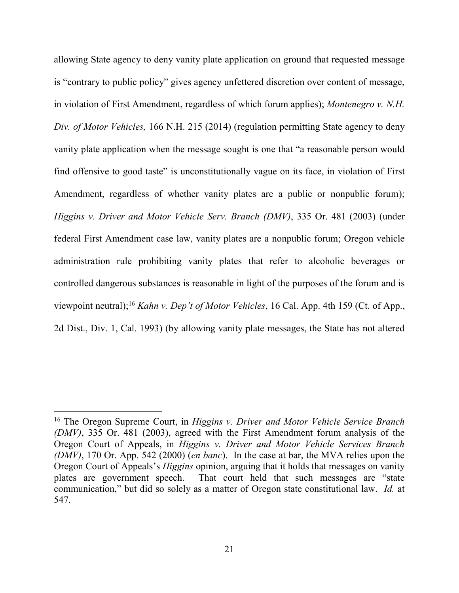allowing State agency to deny vanity plate application on ground that requested message is "contrary to public policy" gives agency unfettered discretion over content of message, in violation of First Amendment, regardless of which forum applies); *Montenegro v. N.H. Div. of Motor Vehicles,* 166 N.H. 215 (2014) (regulation permitting State agency to deny vanity plate application when the message sought is one that "a reasonable person would find offensive to good taste" is unconstitutionally vague on its face, in violation of First Amendment, regardless of whether vanity plates are a public or nonpublic forum); *Higgins v. Driver and Motor Vehicle Serv. Branch (DMV)*, 335 Or. 481 (2003) (under federal First Amendment case law, vanity plates are a nonpublic forum; Oregon vehicle administration rule prohibiting vanity plates that refer to alcoholic beverages or controlled dangerous substances is reasonable in light of the purposes of the forum and is viewpoint neutral);<sup>16</sup> *Kahn v. Dep't of Motor Vehicles*, 16 Cal. App. 4th 159 (Ct. of App., 2d Dist., Div. 1, Cal. 1993) (by allowing vanity plate messages, the State has not altered

<sup>16</sup> The Oregon Supreme Court, in *Higgins v. Driver and Motor Vehicle Service Branch (DMV)*, 335 Or. 481 (2003), agreed with the First Amendment forum analysis of the Oregon Court of Appeals, in *Higgins v. Driver and Motor Vehicle Services Branch (DMV)*, 170 Or. App. 542 (2000) (*en banc*). In the case at bar, the MVA relies upon the Oregon Court of Appeals's *Higgins* opinion, arguing that it holds that messages on vanity plates are government speech. That court held that such messages are "state communication," but did so solely as a matter of Oregon state constitutional law. *Id.* at 547.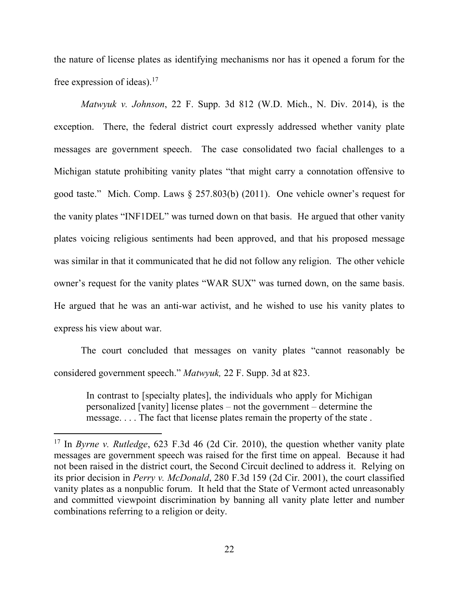the nature of license plates as identifying mechanisms nor has it opened a forum for the free expression of ideas).<sup>17</sup>

*Matwyuk v. Johnson*, 22 F. Supp. 3d 812 (W.D. Mich., N. Div. 2014), is the exception. There, the federal district court expressly addressed whether vanity plate messages are government speech. The case consolidated two facial challenges to a Michigan statute prohibiting vanity plates "that might carry a connotation offensive to good taste." Mich. Comp. Laws § 257.803(b) (2011). One vehicle owner's request for the vanity plates "INF1DEL" was turned down on that basis. He argued that other vanity plates voicing religious sentiments had been approved, and that his proposed message was similar in that it communicated that he did not follow any religion. The other vehicle owner's request for the vanity plates "WAR SUX" was turned down, on the same basis. He argued that he was an anti-war activist, and he wished to use his vanity plates to express his view about war.

 The court concluded that messages on vanity plates "cannot reasonably be considered government speech." *Matwyuk,* 22 F. Supp. 3d at 823.

In contrast to [specialty plates], the individuals who apply for Michigan personalized [vanity] license plates *–* not the government *–* determine the message. . . . The fact that license plates remain the property of the state .

<sup>17</sup> In *Byrne v. Rutledge*, 623 F.3d 46 (2d Cir. 2010), the question whether vanity plate messages are government speech was raised for the first time on appeal. Because it had not been raised in the district court, the Second Circuit declined to address it. Relying on its prior decision in *Perry v. McDonald*, 280 F.3d 159 (2d Cir. 2001), the court classified vanity plates as a nonpublic forum. It held that the State of Vermont acted unreasonably and committed viewpoint discrimination by banning all vanity plate letter and number combinations referring to a religion or deity.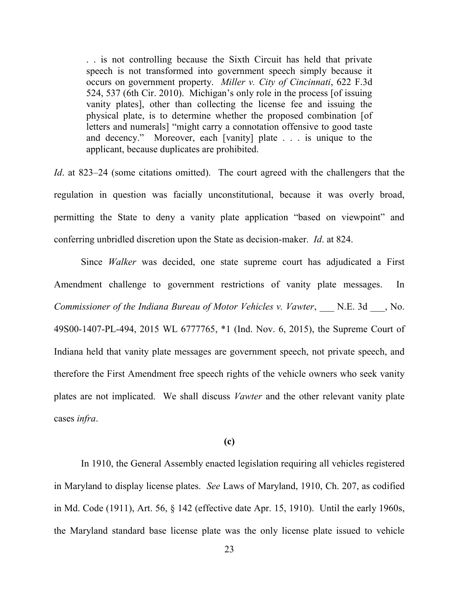. . is not controlling because the Sixth Circuit has held that private speech is not transformed into government speech simply because it occurs on government property. *Miller v. City of Cincinnati*, 622 F.3d 524, 537 (6th Cir. 2010). Michigan's only role in the process [of issuing vanity plates], other than collecting the license fee and issuing the physical plate, is to determine whether the proposed combination [of letters and numerals] "might carry a connotation offensive to good taste and decency." Moreover, each [vanity] plate . . . is unique to the applicant, because duplicates are prohibited.

*Id.* at 823–24 (some citations omitted). The court agreed with the challengers that the regulation in question was facially unconstitutional, because it was overly broad, permitting the State to deny a vanity plate application "based on viewpoint" and conferring unbridled discretion upon the State as decision-maker. *Id*. at 824.

 Since *Walker* was decided, one state supreme court has adjudicated a First Amendment challenge to government restrictions of vanity plate messages. In *Commissioner of the Indiana Bureau of Motor Vehicles v. Vawter*, \_\_\_ N.E. 3d \_\_\_, No. 49S00-1407-PL-494, 2015 WL 6777765, \*1 (Ind. Nov. 6, 2015), the Supreme Court of Indiana held that vanity plate messages are government speech, not private speech, and therefore the First Amendment free speech rights of the vehicle owners who seek vanity plates are not implicated. We shall discuss *Vawter* and the other relevant vanity plate cases *infra*.

### **(c)**

In 1910, the General Assembly enacted legislation requiring all vehicles registered in Maryland to display license plates. *See* Laws of Maryland, 1910, Ch. 207, as codified in Md. Code (1911), Art. 56, § 142 (effective date Apr. 15, 1910). Until the early 1960s, the Maryland standard base license plate was the only license plate issued to vehicle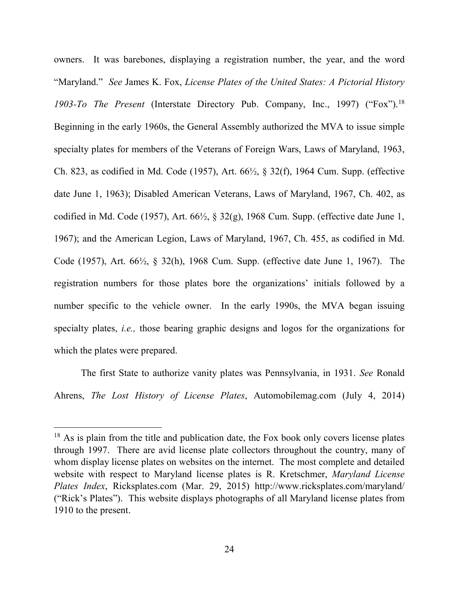owners. It was barebones, displaying a registration number, the year, and the word "Maryland." *See* James K. Fox, *License Plates of the United States: A Pictorial History 1903-To The Present* (Interstate Directory Pub. Company, Inc., 1997) ("Fox").<sup>18</sup> Beginning in the early 1960s, the General Assembly authorized the MVA to issue simple specialty plates for members of the Veterans of Foreign Wars, Laws of Maryland, 1963, Ch. 823, as codified in Md. Code (1957), Art. 66½, § 32(f), 1964 Cum. Supp. (effective date June 1, 1963); Disabled American Veterans, Laws of Maryland, 1967, Ch. 402, as codified in Md. Code (1957), Art.  $66\frac{1}{2}$ , § 32(g), 1968 Cum. Supp. (effective date June 1, 1967); and the American Legion, Laws of Maryland, 1967, Ch. 455, as codified in Md. Code (1957), Art. 66½, § 32(h), 1968 Cum. Supp. (effective date June 1, 1967). The registration numbers for those plates bore the organizations' initials followed by a number specific to the vehicle owner.In the early 1990s, the MVA began issuing specialty plates, *i.e.,* those bearing graphic designs and logos for the organizations for which the plates were prepared.

The first State to authorize vanity plates was Pennsylvania, in 1931. *See* Ronald Ahrens, *The Lost History of License Plates*, Automobilemag.com (July 4, 2014)

 $18$  As is plain from the title and publication date, the Fox book only covers license plates through 1997. There are avid license plate collectors throughout the country, many of whom display license plates on websites on the internet. The most complete and detailed website with respect to Maryland license plates is R. Kretschmer, *Maryland License Plates Index*, Ricksplates.com (Mar. 29, 2015) http://www.ricksplates.com/maryland/ ("Rick's Plates"). This website displays photographs of all Maryland license plates from 1910 to the present.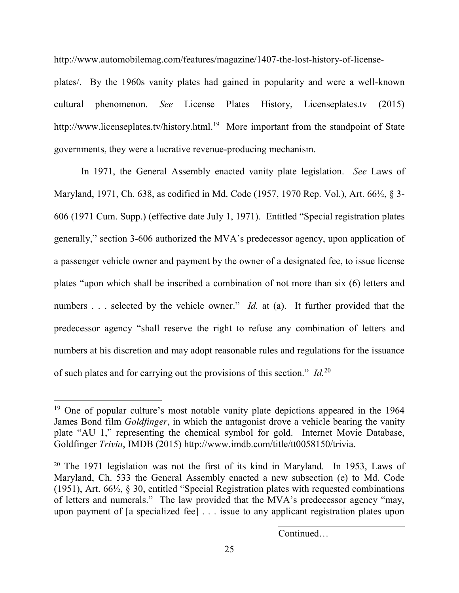http://www.automobilemag.com/features/magazine/1407-the-lost-history-of-license-

plates/. By the 1960s vanity plates had gained in popularity and were a well-known cultural phenomenon. *See* License Plates History, Licenseplates.tv (2015) http://www.licenseplates.tv/history.html.<sup>19</sup> More important from the standpoint of State governments, they were a lucrative revenue-producing mechanism.

In 1971, the General Assembly enacted vanity plate legislation. *See* Laws of Maryland, 1971, Ch. 638, as codified in Md. Code (1957, 1970 Rep. Vol.), Art. 66½, § 3- 606 (1971 Cum. Supp.) (effective date July 1, 1971). Entitled "Special registration plates generally," section 3-606 authorized the MVA's predecessor agency, upon application of a passenger vehicle owner and payment by the owner of a designated fee, to issue license plates "upon which shall be inscribed a combination of not more than six (6) letters and numbers . . . selected by the vehicle owner." *Id.* at (a). It further provided that the predecessor agency "shall reserve the right to refuse any combination of letters and numbers at his discretion and may adopt reasonable rules and regulations for the issuance of such plates and for carrying out the provisions of this section." *Id.*<sup>20</sup>

 $\overline{a}$ 

Continued…

<sup>&</sup>lt;sup>19</sup> One of popular culture's most notable vanity plate depictions appeared in the 1964 James Bond film *Goldfinger*, in which the antagonist drove a vehicle bearing the vanity plate "AU 1," representing the chemical symbol for gold. Internet Movie Database, Goldfinger *Trivia*, IMDB (2015) http://www.imdb.com/title/tt0058150/trivia.

 $20$  The 1971 legislation was not the first of its kind in Maryland. In 1953, Laws of Maryland, Ch. 533 the General Assembly enacted a new subsection (e) to Md. Code (1951), Art. 66½, § 30, entitled "Special Registration plates with requested combinations of letters and numerals." The law provided that the MVA's predecessor agency "may, upon payment of [a specialized fee] . . . issue to any applicant registration plates upon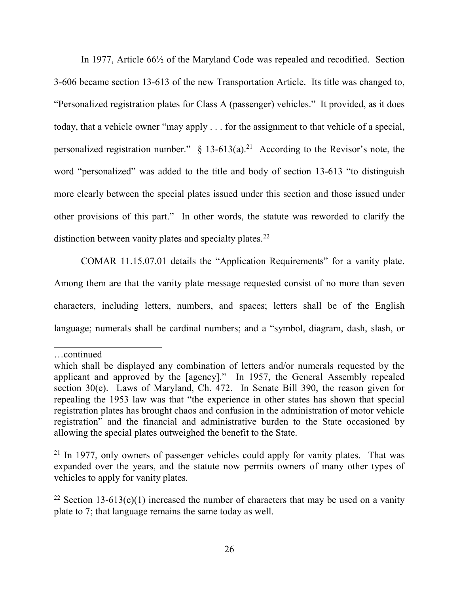In 1977, Article 66½ of the Maryland Code was repealed and recodified. Section 3-606 became section 13-613 of the new Transportation Article. Its title was changed to, "Personalized registration plates for Class A (passenger) vehicles." It provided, as it does today, that a vehicle owner "may apply . . . for the assignment to that vehicle of a special, personalized registration number."  $\S$  13-613(a).<sup>21</sup> According to the Revisor's note, the word "personalized" was added to the title and body of section 13-613 "to distinguish more clearly between the special plates issued under this section and those issued under other provisions of this part." In other words, the statute was reworded to clarify the distinction between vanity plates and specialty plates.<sup>22</sup>

COMAR 11.15.07.01 details the "Application Requirements" for a vanity plate. Among them are that the vanity plate message requested consist of no more than seven characters, including letters, numbers, and spaces; letters shall be of the English language; numerals shall be cardinal numbers; and a "symbol, diagram, dash, slash, or

…continued

which shall be displayed any combination of letters and/or numerals requested by the applicant and approved by the [agency]." In 1957, the General Assembly repealed section 30(e). Laws of Maryland, Ch. 472. In Senate Bill 390, the reason given for repealing the 1953 law was that "the experience in other states has shown that special registration plates has brought chaos and confusion in the administration of motor vehicle registration" and the financial and administrative burden to the State occasioned by allowing the special plates outweighed the benefit to the State.

 $21$  In 1977, only owners of passenger vehicles could apply for vanity plates. That was expanded over the years, and the statute now permits owners of many other types of vehicles to apply for vanity plates.

<sup>&</sup>lt;sup>22</sup> Section 13-613(c)(1) increased the number of characters that may be used on a vanity plate to 7; that language remains the same today as well.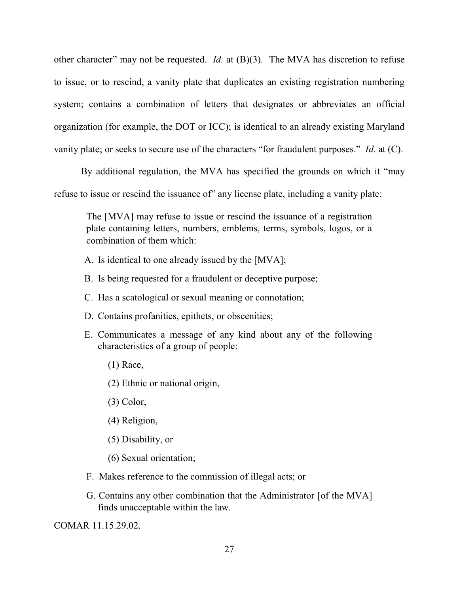other character" may not be requested. *Id.* at (B)(3). The MVA has discretion to refuse to issue, or to rescind, a vanity plate that duplicates an existing registration numbering system; contains a combination of letters that designates or abbreviates an official organization (for example, the DOT or ICC); is identical to an already existing Maryland vanity plate; or seeks to secure use of the characters "for fraudulent purposes." *Id*. at (C).

By additional regulation, the MVA has specified the grounds on which it "may refuse to issue or rescind the issuance of" any license plate, including a vanity plate:

The [MVA] may refuse to issue or rescind the issuance of a registration plate containing letters, numbers, emblems, terms, symbols, logos, or a combination of them which:

- A. Is identical to one already issued by the [MVA];
- B. Is being requested for a fraudulent or deceptive purpose;
- C. Has a scatological or sexual meaning or connotation;
- D. Contains profanities, epithets, or obscenities;
- E. Communicates a message of any kind about any of the following characteristics of a group of people:
	- (1) Race,
	- (2) Ethnic or national origin,
	- (3) Color,
	- (4) Religion,
	- (5) Disability, or
	- (6) Sexual orientation;
- F. Makes reference to the commission of illegal acts; or
- G. Contains any other combination that the Administrator [of the MVA] finds unacceptable within the law.

COMAR 11.15.29.02.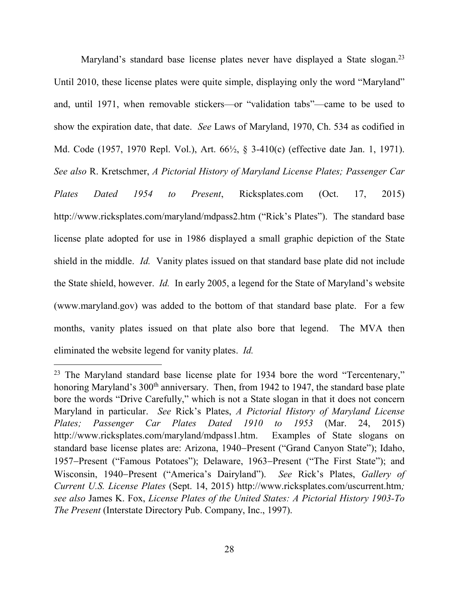Maryland's standard base license plates never have displayed a State slogan.<sup>23</sup> Until 2010, these license plates were quite simple, displaying only the word "Maryland" and, until 1971, when removable stickers—or "validation tabs"—came to be used to show the expiration date, that date. *See* Laws of Maryland, 1970, Ch. 534 as codified in Md. Code (1957, 1970 Repl. Vol.), Art. 66½, § 3-410(c) (effective date Jan. 1, 1971). *See also* R. Kretschmer, *A Pictorial History of Maryland License Plates; Passenger Car Plates Dated 1954 to Present*, Ricksplates.com (Oct. 17, 2015) http://www.ricksplates.com/maryland/mdpass2.htm ("Rick's Plates"). The standard base license plate adopted for use in 1986 displayed a small graphic depiction of the State shield in the middle. *Id.* Vanity plates issued on that standard base plate did not include the State shield, however. *Id.* In early 2005, a legend for the State of Maryland's website (www.maryland.gov) was added to the bottom of that standard base plate. For a few months, vanity plates issued on that plate also bore that legend. The MVA then eliminated the website legend for vanity plates. *Id.*

 $23$  The Maryland standard base license plate for 1934 bore the word "Tercentenary," honoring Maryland's 300<sup>th</sup> anniversary. Then, from 1942 to 1947, the standard base plate bore the words "Drive Carefully," which is not a State slogan in that it does not concern Maryland in particular. *See* Rick's Plates, *A Pictorial History of Maryland License Plates; Passenger Car Plates Dated 1910 to 1953* (Mar. 24, 2015) http://www.ricksplates.com/maryland/mdpass1.htm. Examples of State slogans on standard base license plates are: Arizona, 1940–Present ("Grand Canyon State"); Idaho, 1957–Present ("Famous Potatoes"); Delaware, 1963–Present ("The First State"); and Wisconsin, 1940–Present ("America's Dairyland"). *See* Rick's Plates, *Gallery of Current U.S. License Plates* (Sept. 14, 2015) http://www.ricksplates.com/uscurrent.htm*; see also* James K. Fox, *License Plates of the United States: A Pictorial History 1903-To The Present* (Interstate Directory Pub. Company, Inc., 1997).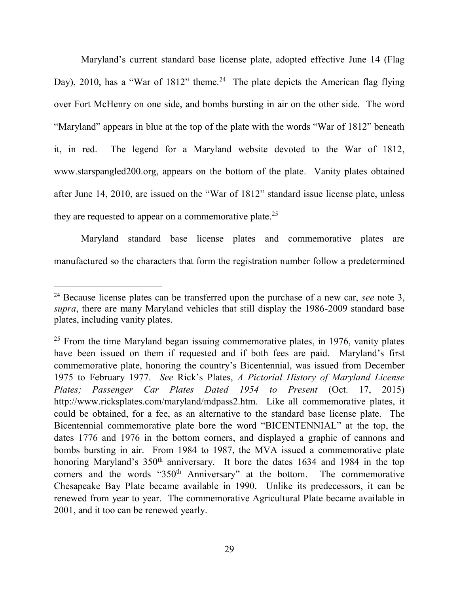Maryland's current standard base license plate, adopted effective June 14 (Flag Day), 2010, has a "War of 1812" theme.<sup>24</sup> The plate depicts the American flag flying over Fort McHenry on one side, and bombs bursting in air on the other side. The word "Maryland" appears in blue at the top of the plate with the words "War of 1812" beneath it, in red. The legend for a Maryland website devoted to the War of 1812, www.starspangled200.org, appears on the bottom of the plate. Vanity plates obtained after June 14, 2010, are issued on the "War of 1812" standard issue license plate, unless they are requested to appear on a commemorative plate.<sup>25</sup>

 Maryland standard base license plates and commemorative plates are manufactured so the characters that form the registration number follow a predetermined

<sup>24</sup> Because license plates can be transferred upon the purchase of a new car, *see* note 3, *supra*, there are many Maryland vehicles that still display the 1986-2009 standard base plates, including vanity plates.

 $25$  From the time Maryland began issuing commemorative plates, in 1976, vanity plates have been issued on them if requested and if both fees are paid. Maryland's first commemorative plate, honoring the country's Bicentennial, was issued from December 1975 to February 1977. *See* Rick's Plates, *A Pictorial History of Maryland License Plates; Passenger Car Plates Dated 1954 to Present* (Oct. 17, 2015) http://www.ricksplates.com/maryland/mdpass2.htm. Like all commemorative plates, it could be obtained, for a fee, as an alternative to the standard base license plate. The Bicentennial commemorative plate bore the word "BICENTENNIAL" at the top, the dates 1776 and 1976 in the bottom corners, and displayed a graphic of cannons and bombs bursting in air. From 1984 to 1987, the MVA issued a commemorative plate honoring Maryland's 350<sup>th</sup> anniversary. It bore the dates 1634 and 1984 in the top corners and the words "350<sup>th</sup> Anniversary" at the bottom. The commemorative Chesapeake Bay Plate became available in 1990. Unlike its predecessors, it can be renewed from year to year. The commemorative Agricultural Plate became available in 2001, and it too can be renewed yearly.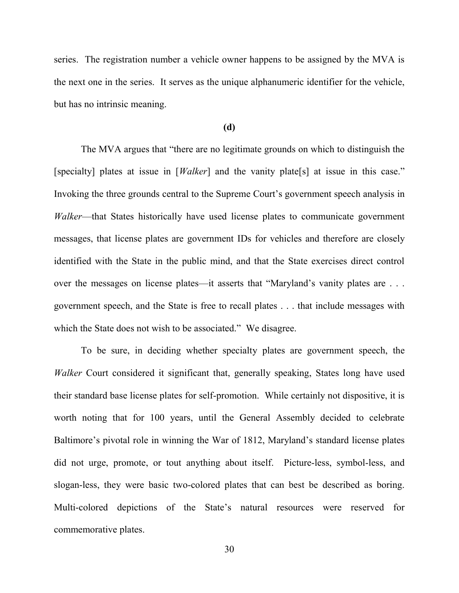series. The registration number a vehicle owner happens to be assigned by the MVA is the next one in the series. It serves as the unique alphanumeric identifier for the vehicle, but has no intrinsic meaning.

#### **(d)**

 The MVA argues that "there are no legitimate grounds on which to distinguish the [specialty] plates at issue in [*Walker*] and the vanity plate[s] at issue in this case." Invoking the three grounds central to the Supreme Court's government speech analysis in *Walker*—that States historically have used license plates to communicate government messages, that license plates are government IDs for vehicles and therefore are closely identified with the State in the public mind, and that the State exercises direct control over the messages on license plates—it asserts that "Maryland's vanity plates are . . . government speech, and the State is free to recall plates . . . that include messages with which the State does not wish to be associated." We disagree.

 To be sure, in deciding whether specialty plates are government speech, the *Walker* Court considered it significant that, generally speaking, States long have used their standard base license plates for self-promotion. While certainly not dispositive, it is worth noting that for 100 years, until the General Assembly decided to celebrate Baltimore's pivotal role in winning the War of 1812, Maryland's standard license plates did not urge, promote, or tout anything about itself. Picture-less, symbol-less, and slogan-less, they were basic two-colored plates that can best be described as boring. Multi-colored depictions of the State's natural resources were reserved for commemorative plates.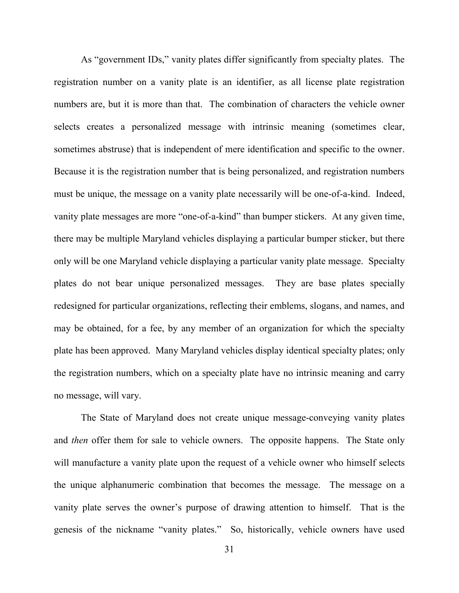As "government IDs," vanity plates differ significantly from specialty plates. The registration number on a vanity plate is an identifier, as all license plate registration numbers are, but it is more than that. The combination of characters the vehicle owner selects creates a personalized message with intrinsic meaning (sometimes clear, sometimes abstruse) that is independent of mere identification and specific to the owner. Because it is the registration number that is being personalized, and registration numbers must be unique, the message on a vanity plate necessarily will be one-of-a-kind. Indeed, vanity plate messages are more "one-of-a-kind" than bumper stickers. At any given time, there may be multiple Maryland vehicles displaying a particular bumper sticker, but there only will be one Maryland vehicle displaying a particular vanity plate message. Specialty plates do not bear unique personalized messages. They are base plates specially redesigned for particular organizations, reflecting their emblems, slogans, and names, and may be obtained, for a fee, by any member of an organization for which the specialty plate has been approved. Many Maryland vehicles display identical specialty plates; only the registration numbers, which on a specialty plate have no intrinsic meaning and carry no message, will vary.

The State of Maryland does not create unique message-conveying vanity plates and *then* offer them for sale to vehicle owners. The opposite happens. The State only will manufacture a vanity plate upon the request of a vehicle owner who himself selects the unique alphanumeric combination that becomes the message. The message on a vanity plate serves the owner's purpose of drawing attention to himself. That is the genesis of the nickname "vanity plates." So, historically, vehicle owners have used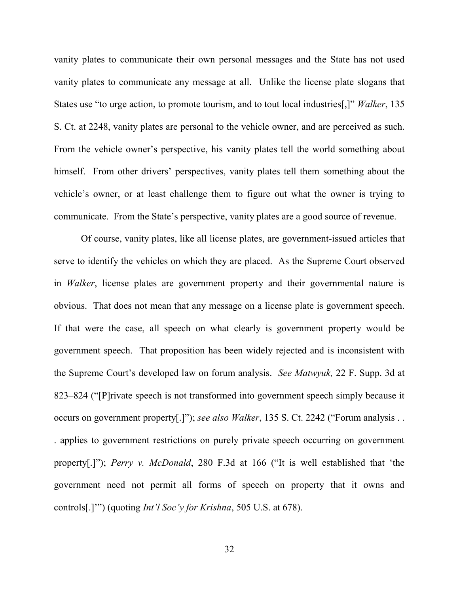vanity plates to communicate their own personal messages and the State has not used vanity plates to communicate any message at all. Unlike the license plate slogans that States use "to urge action, to promote tourism, and to tout local industries[,]" *Walker*, 135 S. Ct. at 2248, vanity plates are personal to the vehicle owner, and are perceived as such. From the vehicle owner's perspective, his vanity plates tell the world something about himself. From other drivers' perspectives, vanity plates tell them something about the vehicle's owner, or at least challenge them to figure out what the owner is trying to communicate. From the State's perspective, vanity plates are a good source of revenue.

Of course, vanity plates, like all license plates, are government-issued articles that serve to identify the vehicles on which they are placed. As the Supreme Court observed in *Walker*, license plates are government property and their governmental nature is obvious. That does not mean that any message on a license plate is government speech. If that were the case, all speech on what clearly is government property would be government speech. That proposition has been widely rejected and is inconsistent with the Supreme Court's developed law on forum analysis. *See Matwyuk,* 22 F. Supp. 3d at 823–824 ("[P]rivate speech is not transformed into government speech simply because it occurs on government property[.]"); *see also Walker*, 135 S. Ct. 2242 ("Forum analysis . . . applies to government restrictions on purely private speech occurring on government property[.]"); *Perry v. McDonald*, 280 F.3d at 166 ("It is well established that 'the government need not permit all forms of speech on property that it owns and controls[.]'") (quoting *Int'l Soc'y for Krishna*, 505 U.S. at 678).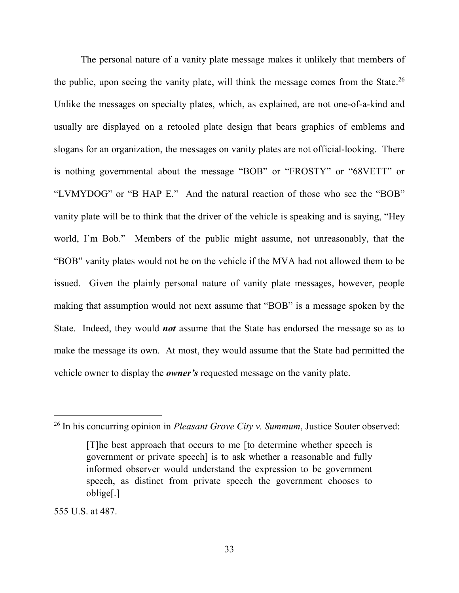The personal nature of a vanity plate message makes it unlikely that members of the public, upon seeing the vanity plate, will think the message comes from the State.<sup>26</sup> Unlike the messages on specialty plates, which, as explained, are not one-of-a-kind and usually are displayed on a retooled plate design that bears graphics of emblems and slogans for an organization, the messages on vanity plates are not official-looking. There is nothing governmental about the message "BOB" or "FROSTY" or "68VETT" or "LVMYDOG" or "B HAP E." And the natural reaction of those who see the "BOB" vanity plate will be to think that the driver of the vehicle is speaking and is saying, "Hey world, I'm Bob." Members of the public might assume, not unreasonably, that the "BOB" vanity plates would not be on the vehicle if the MVA had not allowed them to be issued. Given the plainly personal nature of vanity plate messages, however, people making that assumption would not next assume that "BOB" is a message spoken by the State. Indeed, they would *not* assume that the State has endorsed the message so as to make the message its own. At most, they would assume that the State had permitted the vehicle owner to display the *owner's* requested message on the vanity plate.

<sup>26</sup> In his concurring opinion in *Pleasant Grove City v. Summum*, Justice Souter observed:

<sup>[</sup>T]he best approach that occurs to me [to determine whether speech is government or private speech] is to ask whether a reasonable and fully informed observer would understand the expression to be government speech, as distinct from private speech the government chooses to oblige[.]

<sup>555</sup> U.S. at 487.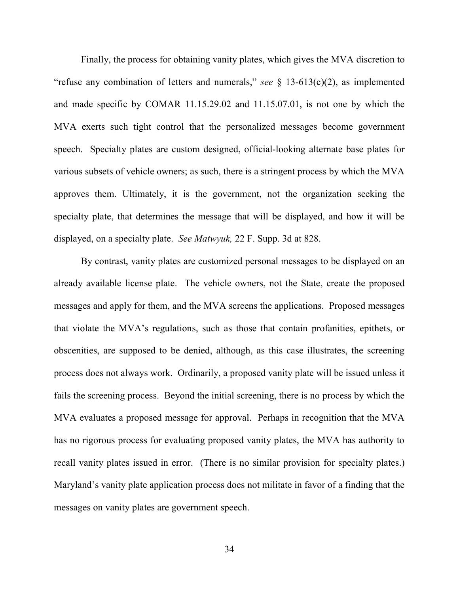Finally, the process for obtaining vanity plates, which gives the MVA discretion to "refuse any combination of letters and numerals," *see* § 13-613(c)(2), as implemented and made specific by COMAR 11.15.29.02 and 11.15.07.01, is not one by which the MVA exerts such tight control that the personalized messages become government speech. Specialty plates are custom designed, official-looking alternate base plates for various subsets of vehicle owners; as such, there is a stringent process by which the MVA approves them. Ultimately, it is the government, not the organization seeking the specialty plate, that determines the message that will be displayed, and how it will be displayed, on a specialty plate. *See Matwyuk,* 22 F. Supp. 3d at 828.

 By contrast, vanity plates are customized personal messages to be displayed on an already available license plate. The vehicle owners, not the State, create the proposed messages and apply for them, and the MVA screens the applications. Proposed messages that violate the MVA's regulations, such as those that contain profanities, epithets, or obscenities, are supposed to be denied, although, as this case illustrates, the screening process does not always work. Ordinarily, a proposed vanity plate will be issued unless it fails the screening process. Beyond the initial screening, there is no process by which the MVA evaluates a proposed message for approval. Perhaps in recognition that the MVA has no rigorous process for evaluating proposed vanity plates, the MVA has authority to recall vanity plates issued in error. (There is no similar provision for specialty plates.) Maryland's vanity plate application process does not militate in favor of a finding that the messages on vanity plates are government speech.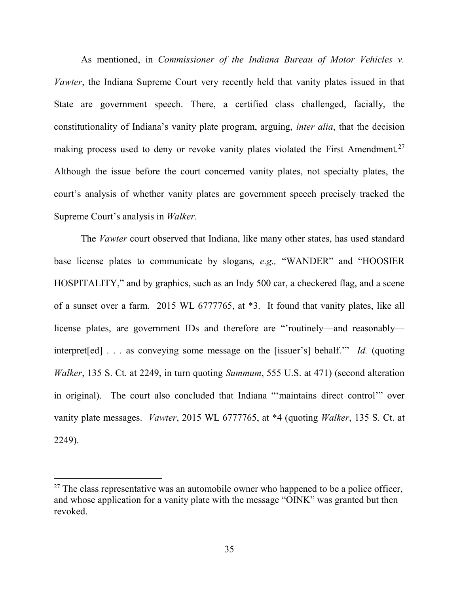As mentioned, in *Commissioner of the Indiana Bureau of Motor Vehicles v. Vawter*, the Indiana Supreme Court very recently held that vanity plates issued in that State are government speech. There, a certified class challenged, facially, the constitutionality of Indiana's vanity plate program, arguing, *inter alia*, that the decision making process used to deny or revoke vanity plates violated the First Amendment.<sup>27</sup> Although the issue before the court concerned vanity plates, not specialty plates, the court's analysis of whether vanity plates are government speech precisely tracked the Supreme Court's analysis in *Walker*.

The *Vawter* court observed that Indiana, like many other states, has used standard base license plates to communicate by slogans, *e.g.,* "WANDER" and "HOOSIER HOSPITALITY," and by graphics, such as an Indy 500 car, a checkered flag, and a scene of a sunset over a farm. 2015 WL 6777765, at \*3. It found that vanity plates, like all license plates, are government IDs and therefore are "'routinely—and reasonably interpret[ed] . . . as conveying some message on the [issuer's] behalf.'" *Id.* (quoting *Walker*, 135 S. Ct. at 2249, in turn quoting *Summum*, 555 U.S. at 471) (second alteration in original). The court also concluded that Indiana "'maintains direct control'" over vanity plate messages. *Vawter*, 2015 WL 6777765, at \*4 (quoting *Walker*, 135 S. Ct. at 2249).

 $27$  The class representative was an automobile owner who happened to be a police officer, and whose application for a vanity plate with the message "OINK" was granted but then revoked.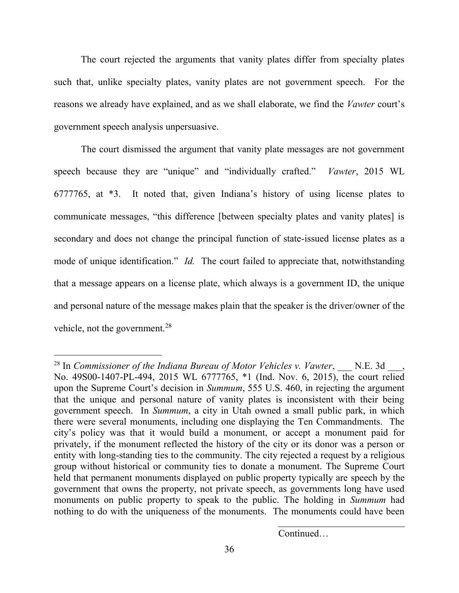The court rejected the arguments that vanity plates differ from specialty plates such that, unlike specialty plates, vanity plates are not government speech. For the reasons we already have explained, and as we shall elaborate, we find the *Vawter* court's government speech analysis unpersuasive.

 The court dismissed the argument that vanity plate messages are not government speech because they are "unique" and "individually crafted." *Vawter*, 2015 WL 6777765, at \*3. It noted that, given Indiana's history of using license plates to communicate messages, "this difference [between specialty plates and vanity plates] is secondary and does not change the principal function of state-issued license plates as a mode of unique identification." *Id.* The court failed to appreciate that, notwithstanding that a message appears on a license plate, which always is a government ID, the unique and personal nature of the message makes plain that the speaker is the driver/owner of the vehicle, not the government.<sup>28</sup>

 $\overline{a}$ 

Continued…

<sup>&</sup>lt;sup>28</sup> In *Commissioner of the Indiana Bureau of Motor Vehicles v. Vawter*, N.E. 3d, No. 49S00-1407-PL-494, 2015 WL 6777765, \*1 (Ind. Nov. 6, 2015), the court relied upon the Supreme Court's decision in *Summum*, 555 U.S. 460, in rejecting the argument that the unique and personal nature of vanity plates is inconsistent with their being government speech. In *Summum*, a city in Utah owned a small public park, in which there were several monuments, including one displaying the Ten Commandments. The city's policy was that it would build a monument, or accept a monument paid for privately, if the monument reflected the history of the city or its donor was a person or entity with long-standing ties to the community. The city rejected a request by a religious group without historical or community ties to donate a monument. The Supreme Court held that permanent monuments displayed on public property typically are speech by the government that owns the property, not private speech, as governments long have used monuments on public property to speak to the public. The holding in *Summum* had nothing to do with the uniqueness of the monuments. The monuments could have been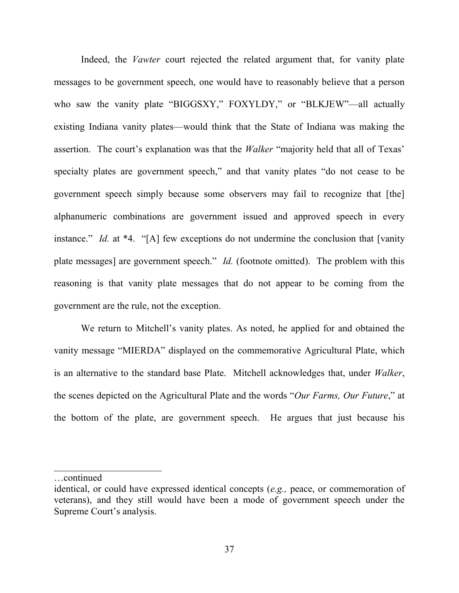Indeed, the *Vawter* court rejected the related argument that, for vanity plate messages to be government speech, one would have to reasonably believe that a person who saw the vanity plate "BIGGSXY," FOXYLDY," or "BLKJEW"—all actually existing Indiana vanity plates—would think that the State of Indiana was making the assertion. The court's explanation was that the *Walker* "majority held that all of Texas' specialty plates are government speech," and that vanity plates "do not cease to be government speech simply because some observers may fail to recognize that [the] alphanumeric combinations are government issued and approved speech in every instance." *Id.* at \*4. "[A] few exceptions do not undermine the conclusion that [vanity plate messages] are government speech." *Id.* (footnote omitted). The problem with this reasoning is that vanity plate messages that do not appear to be coming from the government are the rule, not the exception.

 We return to Mitchell's vanity plates. As noted, he applied for and obtained the vanity message "MIERDA" displayed on the commemorative Agricultural Plate, which is an alternative to the standard base Plate. Mitchell acknowledges that, under *Walker*, the scenes depicted on the Agricultural Plate and the words "*Our Farms, Our Future*," at the bottom of the plate, are government speech. He argues that just because his

…continued

 $\overline{\phantom{a}}$ 

identical, or could have expressed identical concepts (*e.g.,* peace, or commemoration of veterans), and they still would have been a mode of government speech under the Supreme Court's analysis.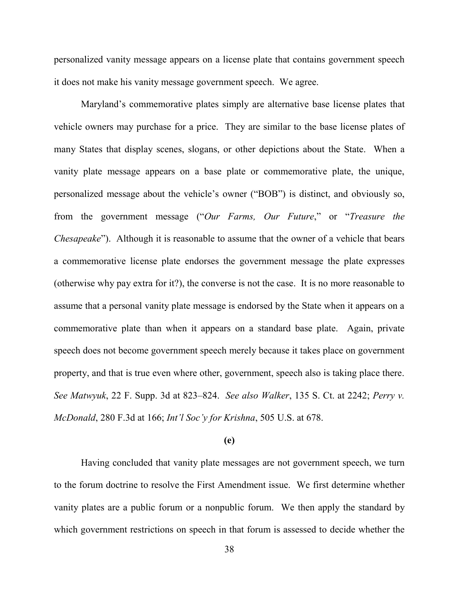personalized vanity message appears on a license plate that contains government speech it does not make his vanity message government speech. We agree.

 Maryland's commemorative plates simply are alternative base license plates that vehicle owners may purchase for a price. They are similar to the base license plates of many States that display scenes, slogans, or other depictions about the State. When a vanity plate message appears on a base plate or commemorative plate, the unique, personalized message about the vehicle's owner ("BOB") is distinct, and obviously so, from the government message ("*Our Farms, Our Future*," or "*Treasure the Chesapeake*"). Although it is reasonable to assume that the owner of a vehicle that bears a commemorative license plate endorses the government message the plate expresses (otherwise why pay extra for it?), the converse is not the case. It is no more reasonable to assume that a personal vanity plate message is endorsed by the State when it appears on a commemorative plate than when it appears on a standard base plate. Again, private speech does not become government speech merely because it takes place on government property, and that is true even where other, government, speech also is taking place there. *See Matwyuk*, 22 F. Supp. 3d at 823–824. *See also Walker*, 135 S. Ct. at 2242; *Perry v. McDonald*, 280 F.3d at 166; *Int'l Soc'y for Krishna*, 505 U.S. at 678.

## **(e)**

Having concluded that vanity plate messages are not government speech, we turn to the forum doctrine to resolve the First Amendment issue. We first determine whether vanity plates are a public forum or a nonpublic forum. We then apply the standard by which government restrictions on speech in that forum is assessed to decide whether the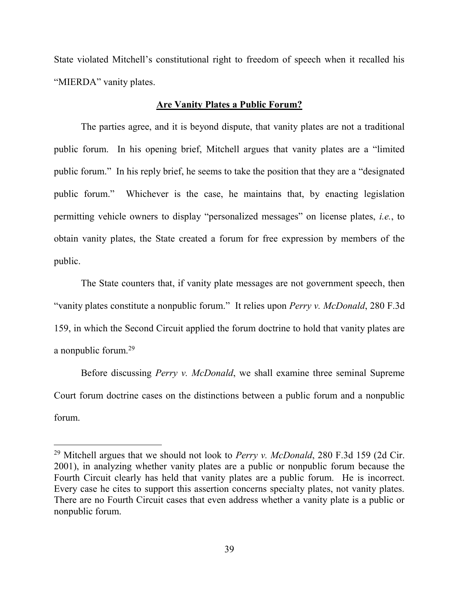State violated Mitchell's constitutional right to freedom of speech when it recalled his "MIERDA" vanity plates.

#### **Are Vanity Plates a Public Forum?**

The parties agree, and it is beyond dispute, that vanity plates are not a traditional public forum. In his opening brief, Mitchell argues that vanity plates are a "limited public forum." In his reply brief, he seems to take the position that they are a "designated public forum." Whichever is the case, he maintains that, by enacting legislation permitting vehicle owners to display "personalized messages" on license plates, *i.e.*, to obtain vanity plates, the State created a forum for free expression by members of the public.

The State counters that, if vanity plate messages are not government speech, then "vanity plates constitute a nonpublic forum." It relies upon *Perry v. McDonald*, 280 F.3d 159, in which the Second Circuit applied the forum doctrine to hold that vanity plates are a nonpublic forum.<sup>29</sup>

Before discussing *Perry v. McDonald*, we shall examine three seminal Supreme Court forum doctrine cases on the distinctions between a public forum and a nonpublic forum.

<sup>29</sup> Mitchell argues that we should not look to *Perry v. McDonald*, 280 F.3d 159 (2d Cir. 2001), in analyzing whether vanity plates are a public or nonpublic forum because the Fourth Circuit clearly has held that vanity plates are a public forum. He is incorrect. Every case he cites to support this assertion concerns specialty plates, not vanity plates. There are no Fourth Circuit cases that even address whether a vanity plate is a public or nonpublic forum.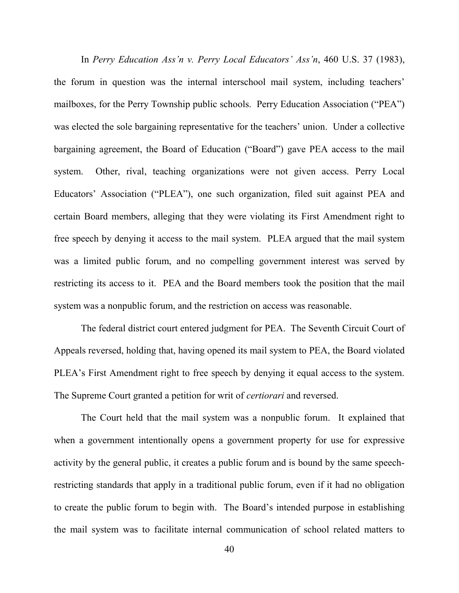In *Perry Education Ass'n v. Perry Local Educators' Ass'n*, 460 U.S. 37 (1983), the forum in question was the internal interschool mail system, including teachers' mailboxes, for the Perry Township public schools. Perry Education Association ("PEA") was elected the sole bargaining representative for the teachers' union. Under a collective bargaining agreement, the Board of Education ("Board") gave PEA access to the mail system. Other, rival, teaching organizations were not given access. Perry Local Educators' Association ("PLEA"), one such organization, filed suit against PEA and certain Board members, alleging that they were violating its First Amendment right to free speech by denying it access to the mail system. PLEA argued that the mail system was a limited public forum, and no compelling government interest was served by restricting its access to it. PEA and the Board members took the position that the mail system was a nonpublic forum, and the restriction on access was reasonable.

 The federal district court entered judgment for PEA. The Seventh Circuit Court of Appeals reversed, holding that, having opened its mail system to PEA, the Board violated PLEA's First Amendment right to free speech by denying it equal access to the system. The Supreme Court granted a petition for writ of *certiorari* and reversed.

The Court held that the mail system was a nonpublic forum. It explained that when a government intentionally opens a government property for use for expressive activity by the general public, it creates a public forum and is bound by the same speechrestricting standards that apply in a traditional public forum, even if it had no obligation to create the public forum to begin with. The Board's intended purpose in establishing the mail system was to facilitate internal communication of school related matters to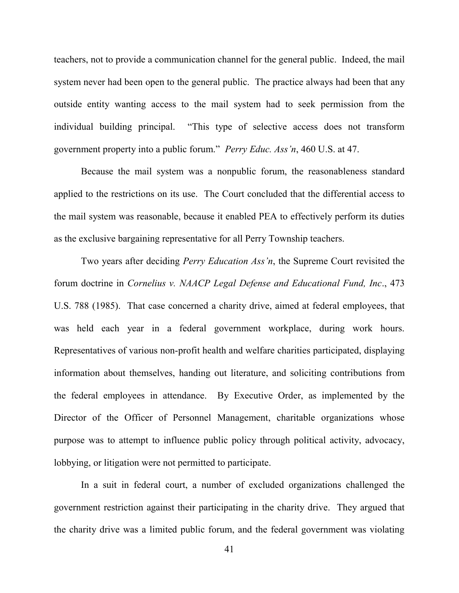teachers, not to provide a communication channel for the general public. Indeed, the mail system never had been open to the general public. The practice always had been that any outside entity wanting access to the mail system had to seek permission from the individual building principal. "This type of selective access does not transform government property into a public forum." *Perry Educ. Ass'n*, 460 U.S. at 47.

Because the mail system was a nonpublic forum, the reasonableness standard applied to the restrictions on its use. The Court concluded that the differential access to the mail system was reasonable, because it enabled PEA to effectively perform its duties as the exclusive bargaining representative for all Perry Township teachers.

 Two years after deciding *Perry Education Ass'n*, the Supreme Court revisited the forum doctrine in *Cornelius v. NAACP Legal Defense and Educational Fund, Inc*., 473 U.S. 788 (1985). That case concerned a charity drive, aimed at federal employees, that was held each year in a federal government workplace, during work hours. Representatives of various non-profit health and welfare charities participated, displaying information about themselves, handing out literature, and soliciting contributions from the federal employees in attendance. By Executive Order, as implemented by the Director of the Officer of Personnel Management, charitable organizations whose purpose was to attempt to influence public policy through political activity, advocacy, lobbying, or litigation were not permitted to participate.

 In a suit in federal court, a number of excluded organizations challenged the government restriction against their participating in the charity drive. They argued that the charity drive was a limited public forum, and the federal government was violating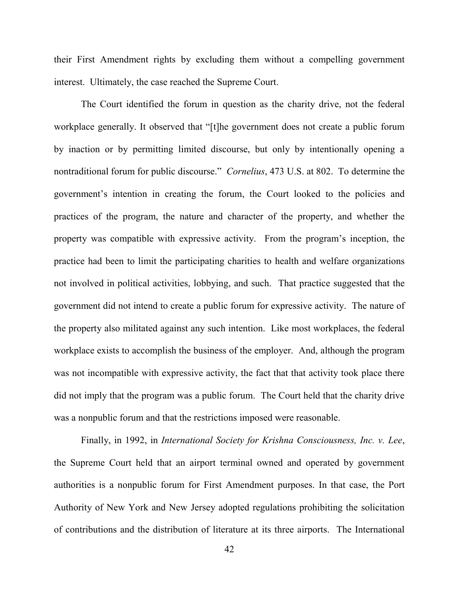their First Amendment rights by excluding them without a compelling government interest. Ultimately, the case reached the Supreme Court.

 The Court identified the forum in question as the charity drive, not the federal workplace generally. It observed that "[t]he government does not create a public forum by inaction or by permitting limited discourse, but only by intentionally opening a nontraditional forum for public discourse." *Cornelius*, 473 U.S. at 802. To determine the government's intention in creating the forum, the Court looked to the policies and practices of the program, the nature and character of the property, and whether the property was compatible with expressive activity. From the program's inception, the practice had been to limit the participating charities to health and welfare organizations not involved in political activities, lobbying, and such. That practice suggested that the government did not intend to create a public forum for expressive activity. The nature of the property also militated against any such intention. Like most workplaces, the federal workplace exists to accomplish the business of the employer. And, although the program was not incompatible with expressive activity, the fact that that activity took place there did not imply that the program was a public forum. The Court held that the charity drive was a nonpublic forum and that the restrictions imposed were reasonable.

 Finally, in 1992, in *International Society for Krishna Consciousness, Inc. v. Lee*, the Supreme Court held that an airport terminal owned and operated by government authorities is a nonpublic forum for First Amendment purposes. In that case, the Port Authority of New York and New Jersey adopted regulations prohibiting the solicitation of contributions and the distribution of literature at its three airports. The International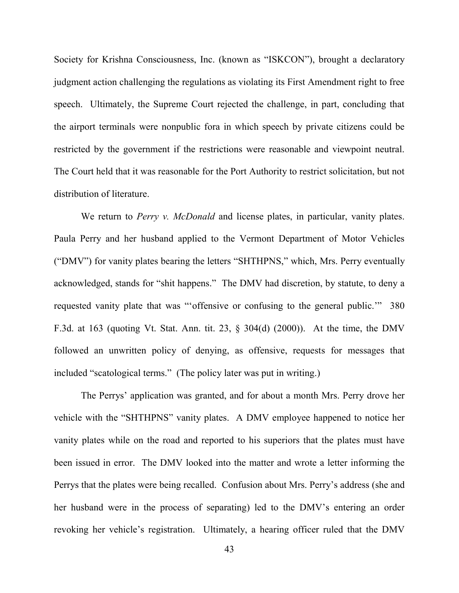Society for Krishna Consciousness, Inc. (known as "ISKCON"), brought a declaratory judgment action challenging the regulations as violating its First Amendment right to free speech. Ultimately, the Supreme Court rejected the challenge, in part, concluding that the airport terminals were nonpublic fora in which speech by private citizens could be restricted by the government if the restrictions were reasonable and viewpoint neutral. The Court held that it was reasonable for the Port Authority to restrict solicitation, but not distribution of literature.

We return to *Perry v. McDonald* and license plates, in particular, vanity plates. Paula Perry and her husband applied to the Vermont Department of Motor Vehicles ("DMV") for vanity plates bearing the letters "SHTHPNS," which, Mrs. Perry eventually acknowledged, stands for "shit happens." The DMV had discretion, by statute, to deny a requested vanity plate that was "'offensive or confusing to the general public.'" 380 F.3d. at 163 (quoting Vt. Stat. Ann. tit. 23, § 304(d) (2000)). At the time, the DMV followed an unwritten policy of denying, as offensive, requests for messages that included "scatological terms." (The policy later was put in writing.)

 The Perrys' application was granted, and for about a month Mrs. Perry drove her vehicle with the "SHTHPNS" vanity plates. A DMV employee happened to notice her vanity plates while on the road and reported to his superiors that the plates must have been issued in error. The DMV looked into the matter and wrote a letter informing the Perrys that the plates were being recalled. Confusion about Mrs. Perry's address (she and her husband were in the process of separating) led to the DMV's entering an order revoking her vehicle's registration. Ultimately, a hearing officer ruled that the DMV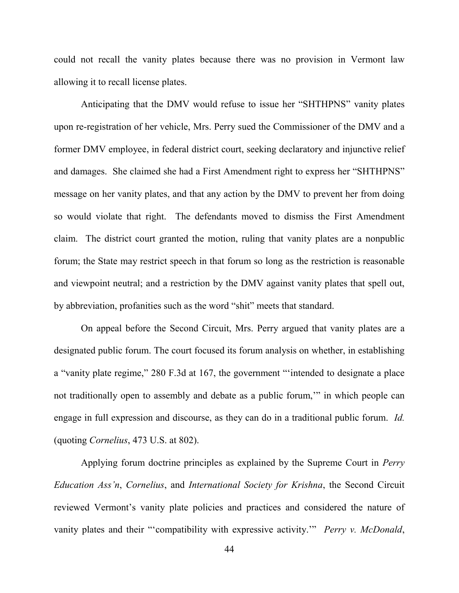could not recall the vanity plates because there was no provision in Vermont law allowing it to recall license plates.

Anticipating that the DMV would refuse to issue her "SHTHPNS" vanity plates upon re-registration of her vehicle, Mrs. Perry sued the Commissioner of the DMV and a former DMV employee, in federal district court, seeking declaratory and injunctive relief and damages. She claimed she had a First Amendment right to express her "SHTHPNS" message on her vanity plates, and that any action by the DMV to prevent her from doing so would violate that right. The defendants moved to dismiss the First Amendment claim. The district court granted the motion, ruling that vanity plates are a nonpublic forum; the State may restrict speech in that forum so long as the restriction is reasonable and viewpoint neutral; and a restriction by the DMV against vanity plates that spell out, by abbreviation, profanities such as the word "shit" meets that standard.

 On appeal before the Second Circuit, Mrs. Perry argued that vanity plates are a designated public forum. The court focused its forum analysis on whether, in establishing a "vanity plate regime," 280 F.3d at 167, the government "'intended to designate a place not traditionally open to assembly and debate as a public forum,'" in which people can engage in full expression and discourse, as they can do in a traditional public forum. *Id.* (quoting *Cornelius*, 473 U.S. at 802).

Applying forum doctrine principles as explained by the Supreme Court in *Perry Education Ass'n*, *Cornelius*, and *International Society for Krishna*, the Second Circuit reviewed Vermont's vanity plate policies and practices and considered the nature of vanity plates and their "'compatibility with expressive activity.'" *Perry v. McDonald*,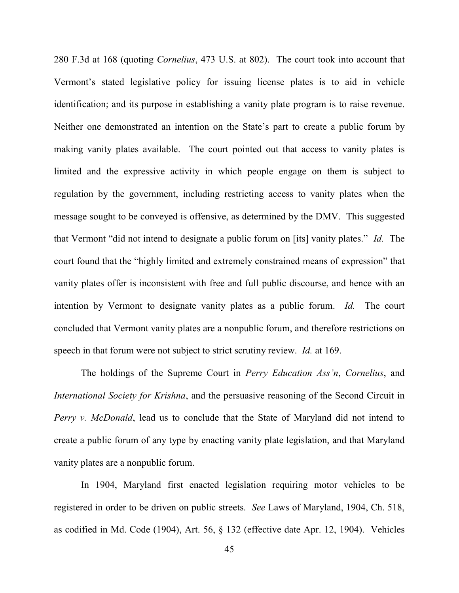280 F.3d at 168 (quoting *Cornelius*, 473 U.S. at 802). The court took into account that Vermont's stated legislative policy for issuing license plates is to aid in vehicle identification; and its purpose in establishing a vanity plate program is to raise revenue. Neither one demonstrated an intention on the State's part to create a public forum by making vanity plates available. The court pointed out that access to vanity plates is limited and the expressive activity in which people engage on them is subject to regulation by the government, including restricting access to vanity plates when the message sought to be conveyed is offensive, as determined by the DMV. This suggested that Vermont "did not intend to designate a public forum on [its] vanity plates." *Id.* The court found that the "highly limited and extremely constrained means of expression" that vanity plates offer is inconsistent with free and full public discourse, and hence with an intention by Vermont to designate vanity plates as a public forum. *Id.* The court concluded that Vermont vanity plates are a nonpublic forum, and therefore restrictions on speech in that forum were not subject to strict scrutiny review. *Id.* at 169.

 The holdings of the Supreme Court in *Perry Education Ass'n*, *Cornelius*, and *International Society for Krishna*, and the persuasive reasoning of the Second Circuit in *Perry v. McDonald*, lead us to conclude that the State of Maryland did not intend to create a public forum of any type by enacting vanity plate legislation, and that Maryland vanity plates are a nonpublic forum.

 In 1904, Maryland first enacted legislation requiring motor vehicles to be registered in order to be driven on public streets. *See* Laws of Maryland, 1904, Ch. 518, as codified in Md. Code (1904), Art. 56, § 132 (effective date Apr. 12, 1904). Vehicles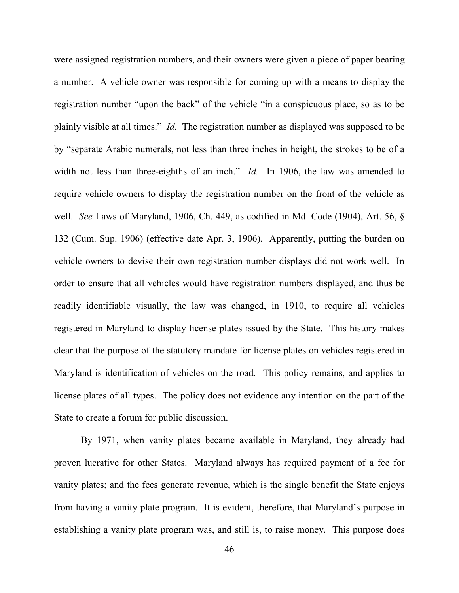were assigned registration numbers, and their owners were given a piece of paper bearing a number. A vehicle owner was responsible for coming up with a means to display the registration number "upon the back" of the vehicle "in a conspicuous place, so as to be plainly visible at all times." *Id.* The registration number as displayed was supposed to be by "separate Arabic numerals, not less than three inches in height, the strokes to be of a width not less than three-eighths of an inch." *Id.* In 1906, the law was amended to require vehicle owners to display the registration number on the front of the vehicle as well. *See* Laws of Maryland, 1906, Ch. 449, as codified in Md. Code (1904), Art. 56, § 132 (Cum. Sup. 1906) (effective date Apr. 3, 1906). Apparently, putting the burden on vehicle owners to devise their own registration number displays did not work well. In order to ensure that all vehicles would have registration numbers displayed, and thus be readily identifiable visually, the law was changed, in 1910, to require all vehicles registered in Maryland to display license plates issued by the State. This history makes clear that the purpose of the statutory mandate for license plates on vehicles registered in Maryland is identification of vehicles on the road. This policy remains, and applies to license plates of all types. The policy does not evidence any intention on the part of the State to create a forum for public discussion.

 By 1971, when vanity plates became available in Maryland, they already had proven lucrative for other States. Maryland always has required payment of a fee for vanity plates; and the fees generate revenue, which is the single benefit the State enjoys from having a vanity plate program. It is evident, therefore, that Maryland's purpose in establishing a vanity plate program was, and still is, to raise money. This purpose does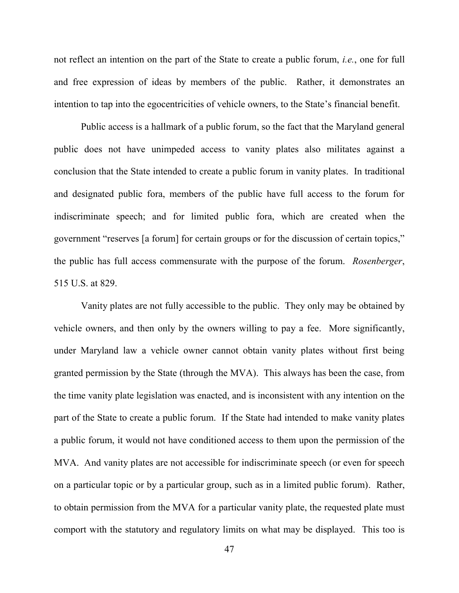not reflect an intention on the part of the State to create a public forum, *i.e.*, one for full and free expression of ideas by members of the public. Rather, it demonstrates an intention to tap into the egocentricities of vehicle owners, to the State's financial benefit.

 Public access is a hallmark of a public forum, so the fact that the Maryland general public does not have unimpeded access to vanity plates also militates against a conclusion that the State intended to create a public forum in vanity plates. In traditional and designated public fora, members of the public have full access to the forum for indiscriminate speech; and for limited public fora, which are created when the government "reserves [a forum] for certain groups or for the discussion of certain topics," the public has full access commensurate with the purpose of the forum. *Rosenberger*, 515 U.S. at 829.

 Vanity plates are not fully accessible to the public. They only may be obtained by vehicle owners, and then only by the owners willing to pay a fee. More significantly, under Maryland law a vehicle owner cannot obtain vanity plates without first being granted permission by the State (through the MVA). This always has been the case, from the time vanity plate legislation was enacted, and is inconsistent with any intention on the part of the State to create a public forum. If the State had intended to make vanity plates a public forum, it would not have conditioned access to them upon the permission of the MVA. And vanity plates are not accessible for indiscriminate speech (or even for speech on a particular topic or by a particular group, such as in a limited public forum). Rather, to obtain permission from the MVA for a particular vanity plate, the requested plate must comport with the statutory and regulatory limits on what may be displayed. This too is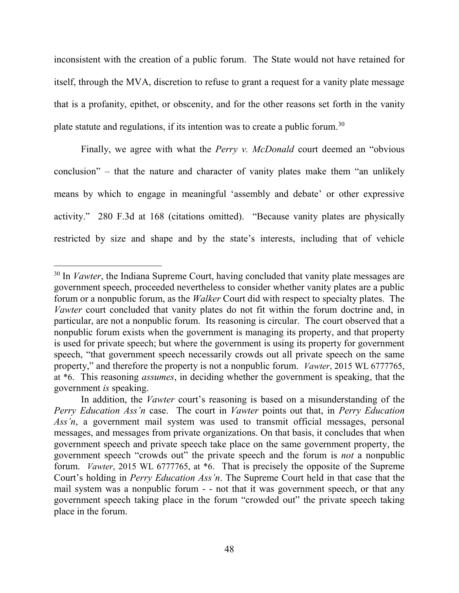inconsistent with the creation of a public forum. The State would not have retained for itself, through the MVA, discretion to refuse to grant a request for a vanity plate message that is a profanity, epithet, or obscenity, and for the other reasons set forth in the vanity plate statute and regulations, if its intention was to create a public forum.<sup>30</sup>

 Finally, we agree with what the *Perry v. McDonald* court deemed an "obvious conclusion" – that the nature and character of vanity plates make them "an unlikely means by which to engage in meaningful 'assembly and debate' or other expressive activity." 280 F.3d at 168 (citations omitted). "Because vanity plates are physically restricted by size and shape and by the state's interests, including that of vehicle

<sup>&</sup>lt;sup>30</sup> In *Vawter*, the Indiana Supreme Court, having concluded that vanity plate messages are government speech, proceeded nevertheless to consider whether vanity plates are a public forum or a nonpublic forum, as the *Walker* Court did with respect to specialty plates. The *Vawter* court concluded that vanity plates do not fit within the forum doctrine and, in particular, are not a nonpublic forum. Its reasoning is circular. The court observed that a nonpublic forum exists when the government is managing its property, and that property is used for private speech; but where the government is using its property for government speech, "that government speech necessarily crowds out all private speech on the same property," and therefore the property is not a nonpublic forum. *Vawter*, 2015 WL 6777765, at \*6. This reasoning *assumes*, in deciding whether the government is speaking, that the government *is* speaking.

In addition, the *Vawter* court's reasoning is based on a misunderstanding of the *Perry Education Ass'n* case. The court in *Vawter* points out that, in *Perry Education Ass'n*, a government mail system was used to transmit official messages, personal messages, and messages from private organizations. On that basis, it concludes that when government speech and private speech take place on the same government property, the government speech "crowds out" the private speech and the forum is *not* a nonpublic forum. *Vawter*, 2015 WL 6777765, at \*6. That is precisely the opposite of the Supreme Court's holding in *Perry Education Ass'n*. The Supreme Court held in that case that the mail system was a nonpublic forum - - not that it was government speech, or that any government speech taking place in the forum "crowded out" the private speech taking place in the forum.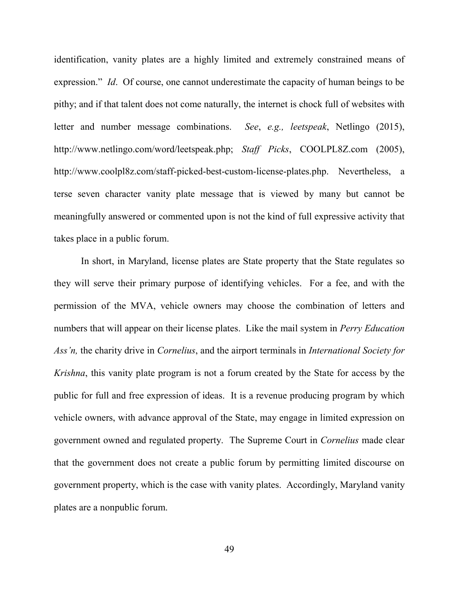identification, vanity plates are a highly limited and extremely constrained means of expression." *Id*. Of course, one cannot underestimate the capacity of human beings to be pithy; and if that talent does not come naturally, the internet is chock full of websites with letter and number message combinations. *See*, *e.g., leetspeak*, Netlingo (2015), http://www.netlingo.com/word/leetspeak.php; *Staff Picks*, COOLPL8Z.com (2005), http://www.coolpl8z.com/staff-picked-best-custom-license-plates.php. Nevertheless, a terse seven character vanity plate message that is viewed by many but cannot be meaningfully answered or commented upon is not the kind of full expressive activity that takes place in a public forum.

In short, in Maryland, license plates are State property that the State regulates so they will serve their primary purpose of identifying vehicles. For a fee, and with the permission of the MVA, vehicle owners may choose the combination of letters and numbers that will appear on their license plates. Like the mail system in *Perry Education Ass'n,* the charity drive in *Cornelius*, and the airport terminals in *International Society for Krishna*, this vanity plate program is not a forum created by the State for access by the public for full and free expression of ideas. It is a revenue producing program by which vehicle owners, with advance approval of the State, may engage in limited expression on government owned and regulated property. The Supreme Court in *Cornelius* made clear that the government does not create a public forum by permitting limited discourse on government property, which is the case with vanity plates. Accordingly, Maryland vanity plates are a nonpublic forum.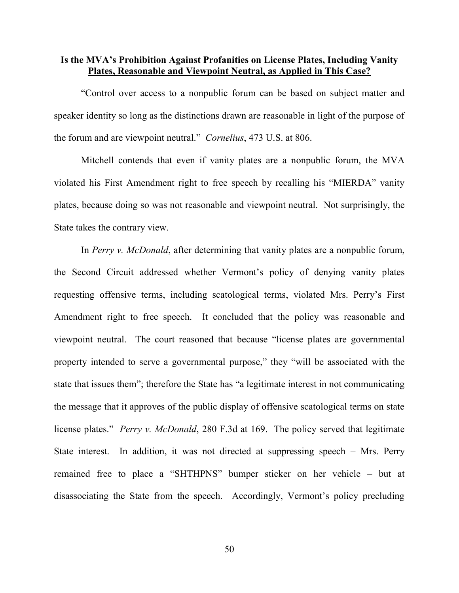## **Is the MVA's Prohibition Against Profanities on License Plates, Including Vanity Plates, Reasonable and Viewpoint Neutral, as Applied in This Case?**

 "Control over access to a nonpublic forum can be based on subject matter and speaker identity so long as the distinctions drawn are reasonable in light of the purpose of the forum and are viewpoint neutral." *Cornelius*, 473 U.S. at 806.

Mitchell contends that even if vanity plates are a nonpublic forum, the MVA violated his First Amendment right to free speech by recalling his "MIERDA" vanity plates, because doing so was not reasonable and viewpoint neutral. Not surprisingly, the State takes the contrary view.

In *Perry v. McDonald*, after determining that vanity plates are a nonpublic forum, the Second Circuit addressed whether Vermont's policy of denying vanity plates requesting offensive terms, including scatological terms, violated Mrs. Perry's First Amendment right to free speech. It concluded that the policy was reasonable and viewpoint neutral. The court reasoned that because "license plates are governmental property intended to serve a governmental purpose," they "will be associated with the state that issues them"; therefore the State has "a legitimate interest in not communicating the message that it approves of the public display of offensive scatological terms on state license plates." *Perry v. McDonald*, 280 F.3d at 169. The policy served that legitimate State interest. In addition, it was not directed at suppressing speech – Mrs. Perry remained free to place a "SHTHPNS" bumper sticker on her vehicle – but at disassociating the State from the speech. Accordingly, Vermont's policy precluding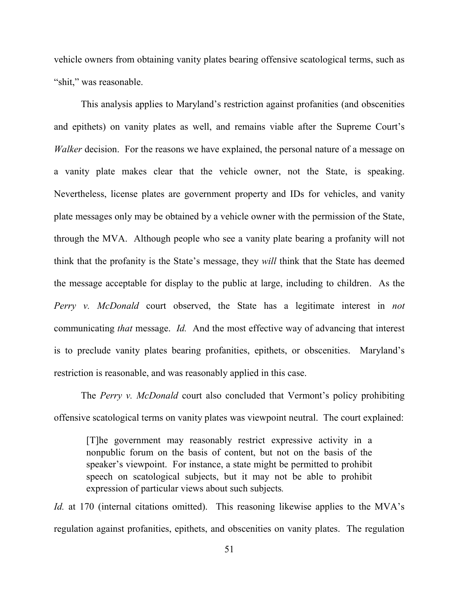vehicle owners from obtaining vanity plates bearing offensive scatological terms, such as "shit," was reasonable.

 This analysis applies to Maryland's restriction against profanities (and obscenities and epithets) on vanity plates as well, and remains viable after the Supreme Court's *Walker* decision. For the reasons we have explained, the personal nature of a message on a vanity plate makes clear that the vehicle owner, not the State, is speaking. Nevertheless, license plates are government property and IDs for vehicles, and vanity plate messages only may be obtained by a vehicle owner with the permission of the State, through the MVA. Although people who see a vanity plate bearing a profanity will not think that the profanity is the State's message, they *will* think that the State has deemed the message acceptable for display to the public at large, including to children. As the *Perry v. McDonald* court observed, the State has a legitimate interest in *not* communicating *that* message. *Id.* And the most effective way of advancing that interest is to preclude vanity plates bearing profanities, epithets, or obscenities. Maryland's restriction is reasonable, and was reasonably applied in this case.

The *Perry v. McDonald* court also concluded that Vermont's policy prohibiting offensive scatological terms on vanity plates was viewpoint neutral. The court explained:

[T]he government may reasonably restrict expressive activity in a nonpublic forum on the basis of content, but not on the basis of the speaker's viewpoint. For instance, a state might be permitted to prohibit speech on scatological subjects, but it may not be able to prohibit expression of particular views about such subjects*.* 

*Id.* at 170 (internal citations omitted). This reasoning likewise applies to the MVA's regulation against profanities, epithets, and obscenities on vanity plates. The regulation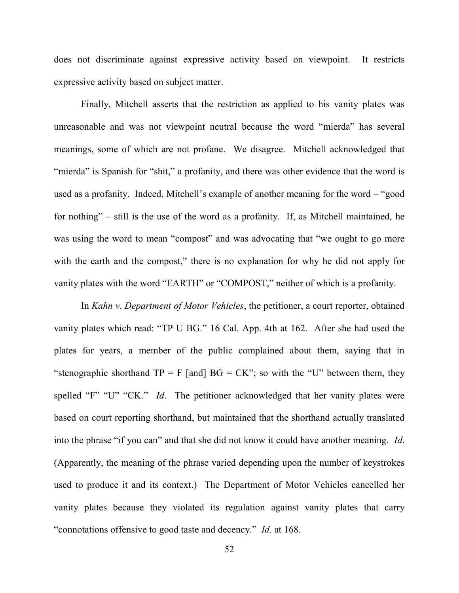does not discriminate against expressive activity based on viewpoint. It restricts expressive activity based on subject matter.

Finally, Mitchell asserts that the restriction as applied to his vanity plates was unreasonable and was not viewpoint neutral because the word "mierda" has several meanings, some of which are not profane. We disagree. Mitchell acknowledged that "mierda" is Spanish for "shit," a profanity, and there was other evidence that the word is used as a profanity. Indeed, Mitchell's example of another meaning for the word – "good for nothing" – still is the use of the word as a profanity. If, as Mitchell maintained, he was using the word to mean "compost" and was advocating that "we ought to go more with the earth and the compost," there is no explanation for why he did not apply for vanity plates with the word "EARTH" or "COMPOST," neither of which is a profanity.

In *Kahn v. Department of Motor Vehicles*, the petitioner, a court reporter, obtained vanity plates which read: "TP U BG." 16 Cal. App. 4th at 162. After she had used the plates for years, a member of the public complained about them, saying that in "stenographic shorthand  $TP = F$  [and]  $BG = CK$ "; so with the "U" between them, they spelled "F" "U" "CK." *Id*. The petitioner acknowledged that her vanity plates were based on court reporting shorthand, but maintained that the shorthand actually translated into the phrase "if you can" and that she did not know it could have another meaning. *Id*. (Apparently, the meaning of the phrase varied depending upon the number of keystrokes used to produce it and its context.) The Department of Motor Vehicles cancelled her vanity plates because they violated its regulation against vanity plates that carry "connotations offensive to good taste and decency." *Id.* at 168.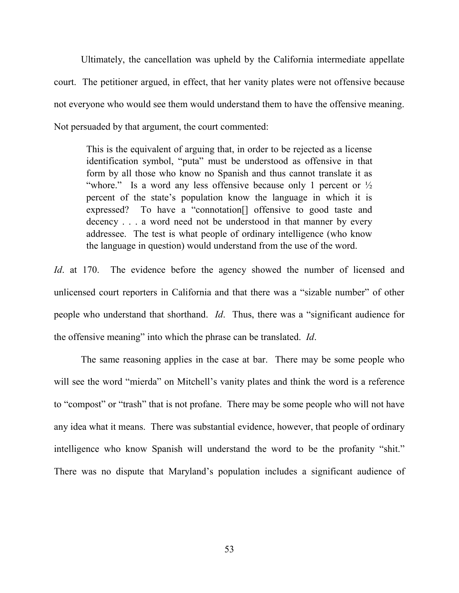Ultimately, the cancellation was upheld by the California intermediate appellate court. The petitioner argued, in effect, that her vanity plates were not offensive because not everyone who would see them would understand them to have the offensive meaning. Not persuaded by that argument, the court commented:

This is the equivalent of arguing that, in order to be rejected as a license identification symbol, "puta" must be understood as offensive in that form by all those who know no Spanish and thus cannot translate it as "whore." Is a word any less offensive because only 1 percent or  $\frac{1}{2}$ percent of the state's population know the language in which it is expressed? To have a "connotation[] offensive to good taste and decency . . . a word need not be understood in that manner by every addressee. The test is what people of ordinary intelligence (who know the language in question) would understand from the use of the word.

*Id.* at 170. The evidence before the agency showed the number of licensed and unlicensed court reporters in California and that there was a "sizable number" of other people who understand that shorthand. *Id*. Thus, there was a "significant audience for the offensive meaning" into which the phrase can be translated. *Id*.

 The same reasoning applies in the case at bar. There may be some people who will see the word "mierda" on Mitchell's vanity plates and think the word is a reference to "compost" or "trash" that is not profane. There may be some people who will not have any idea what it means. There was substantial evidence, however, that people of ordinary intelligence who know Spanish will understand the word to be the profanity "shit." There was no dispute that Maryland's population includes a significant audience of